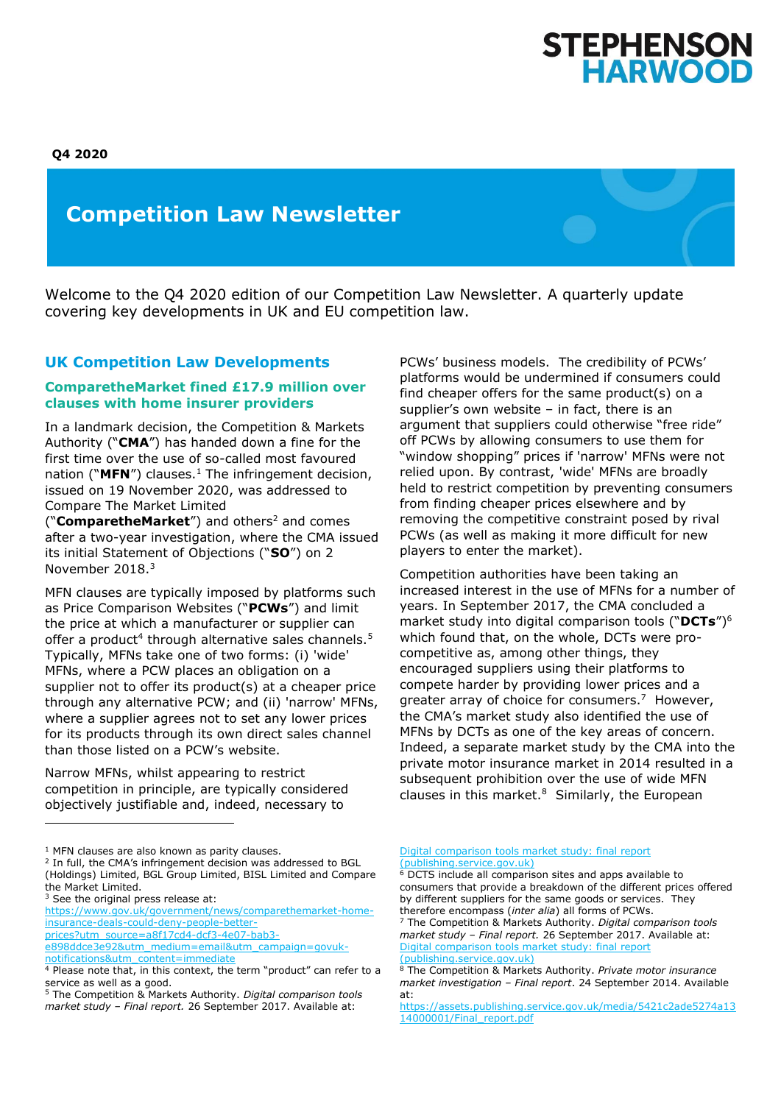

# **Competition Law Newsletter**

Welcome to the Q4 2020 edition of our Competition Law Newsletter. A quarterly update covering key developments in UK and EU competition law.

# **UK Competition Law Developments**

#### **ComparetheMarket fined £17.9 million over clauses with home insurer providers**

In a landmark decision, the Competition & Markets Authority ("**CMA**") has handed down a fine for the first time over the use of so-called most favoured nation ("**MFN**") clauses.<sup>1</sup> The infringement decision, issued on 19 November 2020, was addressed to Compare The Market Limited

("**ComparetheMarket**") and others<sup>2</sup> and comes after a two-year investigation, where the CMA issued its initial Statement of Objections ("**SO**") on 2 November 2018.<sup>3</sup>

MFN clauses are typically imposed by platforms such as Price Comparison Websites ("**PCWs**") and limit the price at which a manufacturer or supplier can offer a product<sup>4</sup> through alternative sales channels.<sup>5</sup> Typically, MFNs take one of two forms: (i) 'wide' MFNs, where a PCW places an obligation on a supplier not to offer its product(s) at a cheaper price through any alternative PCW; and (ii) 'narrow' MFNs, where a supplier agrees not to set any lower prices for its products through its own direct sales channel than those listed on a PCW's website.

Narrow MFNs, whilst appearing to restrict competition in principle, are typically considered objectively justifiable and, indeed, necessary to

<sup>3</sup> See the original press release at:

[prices?utm\\_source=a8f17cd4-dcf3-4e07-bab3-](https://www.gov.uk/government/news/comparethemarket-home-insurance-deals-could-deny-people-better-prices?utm_source=a8f17cd4-dcf3-4e07-bab3-e898ddce3e92&utm_medium=email&utm_campaign=govuk-notifications&utm_content=immediate)

[e898ddce3e92&utm\\_medium=email&utm\\_campaign=govuk](https://www.gov.uk/government/news/comparethemarket-home-insurance-deals-could-deny-people-better-prices?utm_source=a8f17cd4-dcf3-4e07-bab3-e898ddce3e92&utm_medium=email&utm_campaign=govuk-notifications&utm_content=immediate)[notifications&utm\\_content=immediate](https://www.gov.uk/government/news/comparethemarket-home-insurance-deals-could-deny-people-better-prices?utm_source=a8f17cd4-dcf3-4e07-bab3-e898ddce3e92&utm_medium=email&utm_campaign=govuk-notifications&utm_content=immediate)

PCWs' business models. The credibility of PCWs' platforms would be undermined if consumers could find cheaper offers for the same product(s) on a supplier's own website – in fact, there is an argument that suppliers could otherwise "free ride" off PCWs by allowing consumers to use them for "window shopping" prices if 'narrow' MFNs were not relied upon. By contrast, 'wide' MFNs are broadly held to restrict competition by preventing consumers from finding cheaper prices elsewhere and by removing the competitive constraint posed by rival PCWs (as well as making it more difficult for new players to enter the market).

Competition authorities have been taking an increased interest in the use of MFNs for a number of years. In September 2017, the CMA concluded a market study into digital comparison tools ("**DCTs**")<sup>6</sup> which found that, on the whole, DCTs were procompetitive as, among other things, they encouraged suppliers using their platforms to compete harder by providing lower prices and a greater array of choice for consumers.<sup>7</sup> However, the CMA's market study also identified the use of MFNs by DCTs as one of the key areas of concern. Indeed, a separate market study by the CMA into the private motor insurance market in 2014 resulted in a subsequent prohibition over the use of wide MFN clauses in this market. $8$  Similarly, the European

[Digital comparison tools market study: final report](https://assets.publishing.service.gov.uk/media/59c93546e5274a77468120d6/digital-comparison-tools-market-study-final-report.pdf)  [\(publishing.service.gov.uk\)](https://assets.publishing.service.gov.uk/media/59c93546e5274a77468120d6/digital-comparison-tools-market-study-final-report.pdf)

 $1$  MFN clauses are also known as parity clauses.

<sup>&</sup>lt;sup>2</sup> In full, the CMA's infringement decision was addressed to BGL (Holdings) Limited, BGL Group Limited, BISL Limited and Compare the Market Limited.

[https://www.gov.uk/government/news/comparethemarket-home](https://www.gov.uk/government/news/comparethemarket-home-insurance-deals-could-deny-people-better-prices?utm_source=a8f17cd4-dcf3-4e07-bab3-e898ddce3e92&utm_medium=email&utm_campaign=govuk-notifications&utm_content=immediate)[insurance-deals-could-deny-people-better-](https://www.gov.uk/government/news/comparethemarket-home-insurance-deals-could-deny-people-better-prices?utm_source=a8f17cd4-dcf3-4e07-bab3-e898ddce3e92&utm_medium=email&utm_campaign=govuk-notifications&utm_content=immediate)

<sup>4</sup> Please note that, in this context, the term "product" can refer to a service as well as a good.

<sup>5</sup> The Competition & Markets Authority. *Digital comparison tools market study – Final report.* 26 September 2017. Available at:

<sup>6</sup> DCTS include all comparison sites and apps available to consumers that provide a breakdown of the different prices offered by different suppliers for the same goods or services. They therefore encompass (*inter alia*) all forms of PCWs. <sup>7</sup> The Competition & Markets Authority. *Digital comparison tools* 

*market study – Final report.* 26 September 2017. Available at: [Digital comparison tools market study: final report](https://assets.publishing.service.gov.uk/media/59c93546e5274a77468120d6/digital-comparison-tools-market-study-final-report.pdf)  [\(publishing.service.gov.uk\)](https://assets.publishing.service.gov.uk/media/59c93546e5274a77468120d6/digital-comparison-tools-market-study-final-report.pdf)

<sup>8</sup> The Competition & Markets Authority. *Private motor insurance market investigation – Final report*. 24 September 2014. Available at:

[https://assets.publishing.service.gov.uk/media/5421c2ade5274a13](https://assets.publishing.service.gov.uk/media/5421c2ade5274a1314000001/Final_report.pdf) [14000001/Final\\_report.pdf](https://assets.publishing.service.gov.uk/media/5421c2ade5274a1314000001/Final_report.pdf)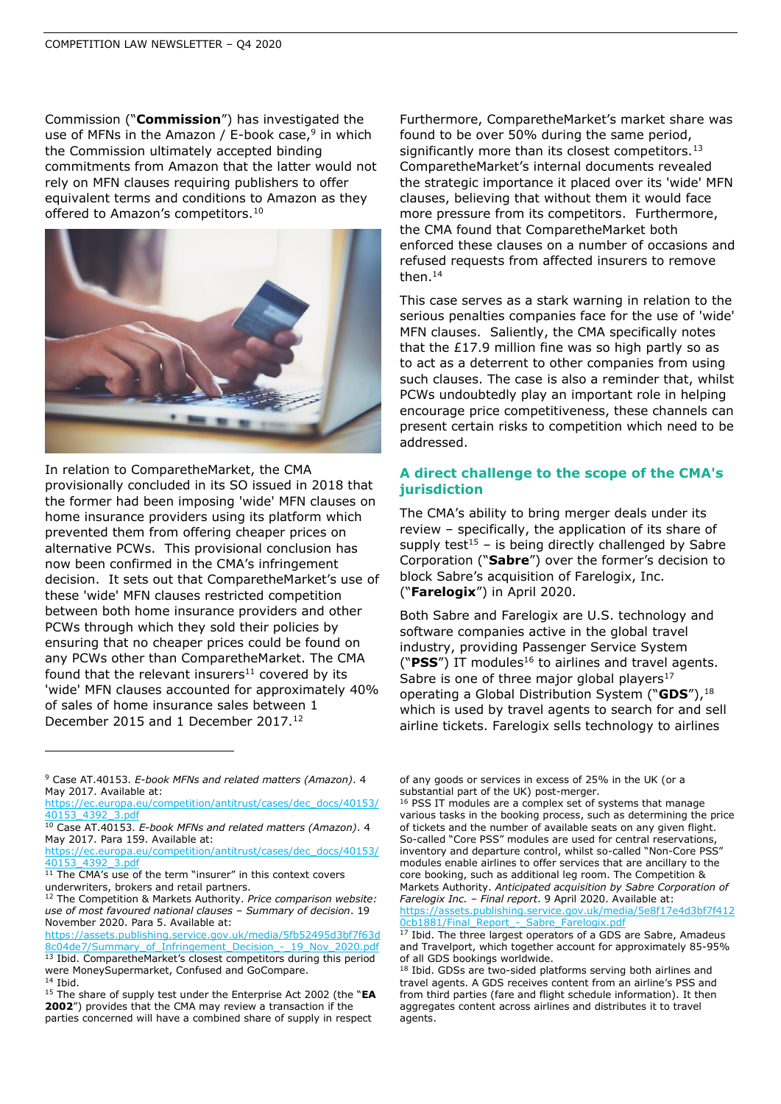Commission ("**Commission**") has investigated the use of MFNs in the Amazon / E-book case,<sup>9</sup> in which the Commission ultimately accepted binding commitments from Amazon that the latter would not rely on MFN clauses requiring publishers to offer equivalent terms and conditions to Amazon as they offered to Amazon's competitors.<sup>10</sup>



In relation to ComparetheMarket, the CMA provisionally concluded in its SO issued in 2018 that the former had been imposing 'wide' MFN clauses on home insurance providers using its platform which prevented them from offering cheaper prices on alternative PCWs. This provisional conclusion has now been confirmed in the CMA's infringement decision. It sets out that ComparetheMarket's use of these 'wide' MFN clauses restricted competition between both home insurance providers and other PCWs through which they sold their policies by ensuring that no cheaper prices could be found on any PCWs other than ComparetheMarket. The CMA found that the relevant insurers $11$  covered by its 'wide' MFN clauses accounted for approximately 40% of sales of home insurance sales between 1 December 2015 and 1 December 2017.<sup>12</sup>

Furthermore, ComparetheMarket's market share was found to be over 50% during the same period, significantly more than its closest competitors.<sup>13</sup> ComparetheMarket's internal documents revealed the strategic importance it placed over its 'wide' MFN clauses, believing that without them it would face more pressure from its competitors. Furthermore, the CMA found that ComparetheMarket both enforced these clauses on a number of occasions and refused requests from affected insurers to remove then. $14$ 

This case serves as a stark warning in relation to the serious penalties companies face for the use of 'wide' MFN clauses. Saliently, the CMA specifically notes that the £17.9 million fine was so high partly so as to act as a deterrent to other companies from using such clauses. The case is also a reminder that, whilst PCWs undoubtedly play an important role in helping encourage price competitiveness, these channels can present certain risks to competition which need to be addressed.

# **A direct challenge to the scope of the CMA's jurisdiction**

The CMA's ability to bring merger deals under its review – specifically, the application of its share of supply test<sup>15</sup> – is being directly challenged by Sabre Corporation ("**Sabre**") over the former's decision to block Sabre's acquisition of Farelogix, Inc. ("**Farelogix**") in April 2020.

Both Sabre and Farelogix are U.S. technology and software companies active in the global travel industry, providing Passenger Service System ("PSS") IT modules<sup>16</sup> to airlines and travel agents. Sabre is one of three major global players $17$ operating a Global Distribution System ("GDS"),<sup>18</sup> which is used by travel agents to search for and sell airline tickets. Farelogix sells technology to airlines

of any goods or services in excess of 25% in the UK (or a substantial part of the UK) post-merger.

<sup>9</sup> Case AT.40153. *E-book MFNs and related matters (Amazon)*. 4 May 2017. Available at:

[https://ec.europa.eu/competition/antitrust/cases/dec\\_docs/40153/](https://ec.europa.eu/competition/antitrust/cases/dec_docs/40153/40153_4392_3.pdf) [40153\\_4392\\_3.pdf](https://ec.europa.eu/competition/antitrust/cases/dec_docs/40153/40153_4392_3.pdf)

<sup>10</sup> Case AT.40153. *E-book MFNs and related matters (Amazon)*. 4 May 2017. Para 159. Available at:

[https://ec.europa.eu/competition/antitrust/cases/dec\\_docs/40153/](https://ec.europa.eu/competition/antitrust/cases/dec_docs/40153/40153_4392_3.pdf) [40153\\_4392\\_3.pdf](https://ec.europa.eu/competition/antitrust/cases/dec_docs/40153/40153_4392_3.pdf)

<sup>&</sup>lt;sup>11</sup> The CMA's use of the term "insurer" in this context covers underwriters, brokers and retail partners.

<sup>12</sup> The Competition & Markets Authority. *Price comparison website: use of most favoured national clauses – Summary of decision*. 19 November 2020. Para 5. Available at:

[https://assets.publishing.service.gov.uk/media/5fb52495d3bf7f63d](https://assets.publishing.service.gov.uk/media/5fb52495d3bf7f63d8c04de7/Summary_of_Infringement_Decision_-_19_Nov_2020.pdf) [8c04de7/Summary\\_of\\_Infringement\\_Decision\\_-\\_19\\_Nov\\_2020.pdf](https://assets.publishing.service.gov.uk/media/5fb52495d3bf7f63d8c04de7/Summary_of_Infringement_Decision_-_19_Nov_2020.pdf) <sup>13</sup> Ibid. ComparetheMarket's closest competitors during this period

were MoneySupermarket, Confused and GoCompare.  $14$  Ibid.

<sup>15</sup> The share of supply test under the Enterprise Act 2002 (the "**EA 2002**") provides that the CMA may review a transaction if the parties concerned will have a combined share of supply in respect

<sup>16</sup> PSS IT modules are a complex set of systems that manage various tasks in the booking process, such as determining the price of tickets and the number of available seats on any given flight. So-called "Core PSS" modules are used for central reservations, inventory and departure control, whilst so-called "Non-Core PSS" modules enable airlines to offer services that are ancillary to the core booking, such as additional leg room. The Competition & Markets Authority. *Anticipated acquisition by Sabre Corporation of Farelogix Inc. – Final report*. 9 April 2020. Available at: [https://assets.publishing.service.gov.uk/media/5e8f17e4d3bf7f412](https://assets.publishing.service.gov.uk/media/5e8f17e4d3bf7f4120cb1881/Final_Report_-_Sabre_Farelogix.pdf) 0cb1881/Final\_Report - Sabre\_Farelogix.pdf

<sup>&</sup>lt;sup>17</sup> Ibid. The three largest operators of a GDS are Sabre, Amadeus

and Travelport, which together account for approximately 85-95% of all GDS bookings worldwide. <sup>18</sup> Ibid. GDSs are two-sided platforms serving both airlines and travel agents. A GDS receives content from an airline's PSS and

from third parties (fare and flight schedule information). It then aggregates content across airlines and distributes it to travel agents.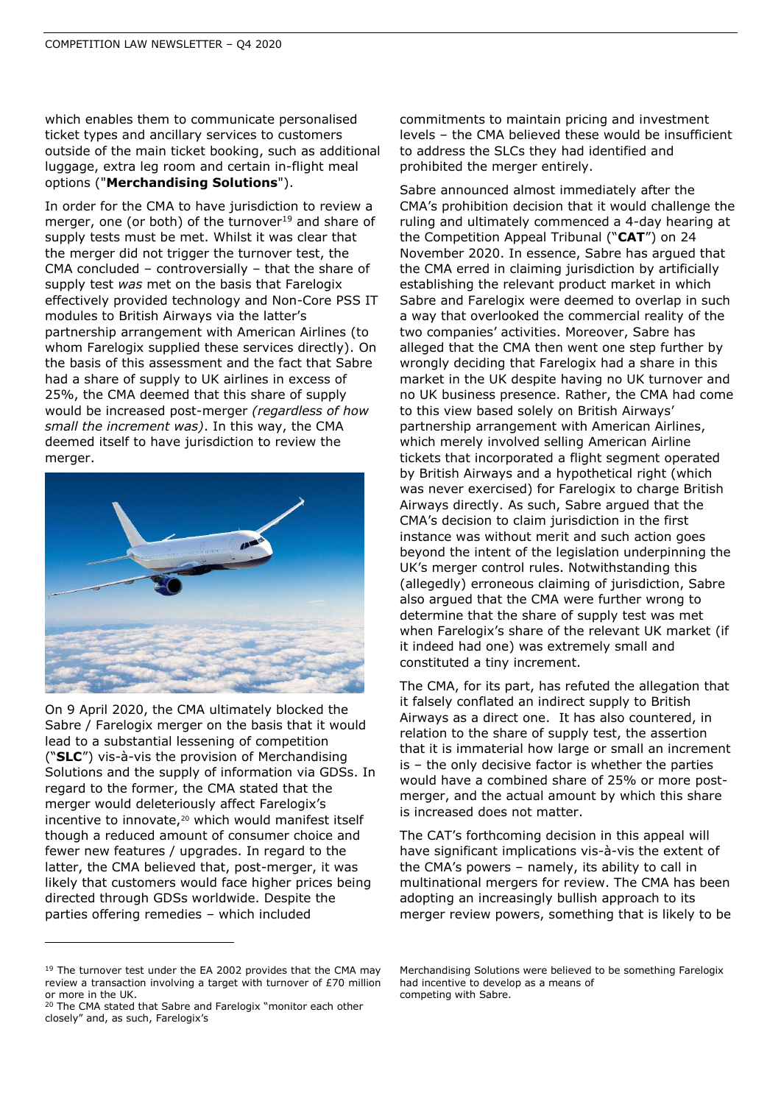which enables them to communicate personalised ticket types and ancillary services to customers outside of the main ticket booking, such as additional luggage, extra leg room and certain in-flight meal options ("**Merchandising Solutions**").

In order for the CMA to have jurisdiction to review a merger, one (or both) of the turnover $19$  and share of supply tests must be met. Whilst it was clear that the merger did not trigger the turnover test, the CMA concluded – controversially – that the share of supply test *was* met on the basis that Farelogix effectively provided technology and Non-Core PSS IT modules to British Airways via the latter's partnership arrangement with American Airlines (to whom Farelogix supplied these services directly). On the basis of this assessment and the fact that Sabre had a share of supply to UK airlines in excess of 25%, the CMA deemed that this share of supply would be increased post-merger *(regardless of how small the increment was)*. In this way, the CMA deemed itself to have jurisdiction to review the merger.



On 9 April 2020, the CMA ultimately blocked the Sabre / Farelogix merger on the basis that it would lead to a substantial lessening of competition ("**SLC**") vis-à-vis the provision of Merchandising Solutions and the supply of information via GDSs. In regard to the former, the CMA stated that the merger would deleteriously affect Farelogix's incentive to innovate,<sup>20</sup> which would manifest itself though a reduced amount of consumer choice and fewer new features / upgrades. In regard to the latter, the CMA believed that, post-merger, it was likely that customers would face higher prices being directed through GDSs worldwide. Despite the parties offering remedies – which included

commitments to maintain pricing and investment levels – the CMA believed these would be insufficient to address the SLCs they had identified and prohibited the merger entirely.

Sabre announced almost immediately after the CMA's prohibition decision that it would challenge the ruling and ultimately commenced a 4-day hearing at the Competition Appeal Tribunal ("**CAT**") on 24 November 2020. In essence, Sabre has argued that the CMA erred in claiming jurisdiction by artificially establishing the relevant product market in which Sabre and Farelogix were deemed to overlap in such a way that overlooked the commercial reality of the two companies' activities. Moreover, Sabre has alleged that the CMA then went one step further by wrongly deciding that Farelogix had a share in this market in the UK despite having no UK turnover and no UK business presence. Rather, the CMA had come to this view based solely on British Airways' partnership arrangement with American Airlines, which merely involved selling American Airline tickets that incorporated a flight segment operated by British Airways and a hypothetical right (which was never exercised) for Farelogix to charge British Airways directly. As such, Sabre argued that the CMA's decision to claim jurisdiction in the first instance was without merit and such action goes beyond the intent of the legislation underpinning the UK's merger control rules. Notwithstanding this (allegedly) erroneous claiming of jurisdiction, Sabre also argued that the CMA were further wrong to determine that the share of supply test was met when Farelogix's share of the relevant UK market (if it indeed had one) was extremely small and constituted a tiny increment.

The CMA, for its part, has refuted the allegation that it falsely conflated an indirect supply to British Airways as a direct one. It has also countered, in relation to the share of supply test, the assertion that it is immaterial how large or small an increment is – the only decisive factor is whether the parties would have a combined share of 25% or more postmerger, and the actual amount by which this share is increased does not matter.

The CAT's forthcoming decision in this appeal will have significant implications vis-à-vis the extent of the CMA's powers – namely, its ability to call in multinational mergers for review. The CMA has been adopting an increasingly bullish approach to its merger review powers, something that is likely to be

<sup>&</sup>lt;sup>19</sup> The turnover test under the EA 2002 provides that the CMA may review a transaction involving a target with turnover of £70 million or more in the UK.

<sup>&</sup>lt;sup>20</sup> The CMA stated that Sabre and Farelogix "monitor each other closely" and, as such, Farelogix's

Merchandising Solutions were believed to be something Farelogix had incentive to develop as a means of competing with Sabre.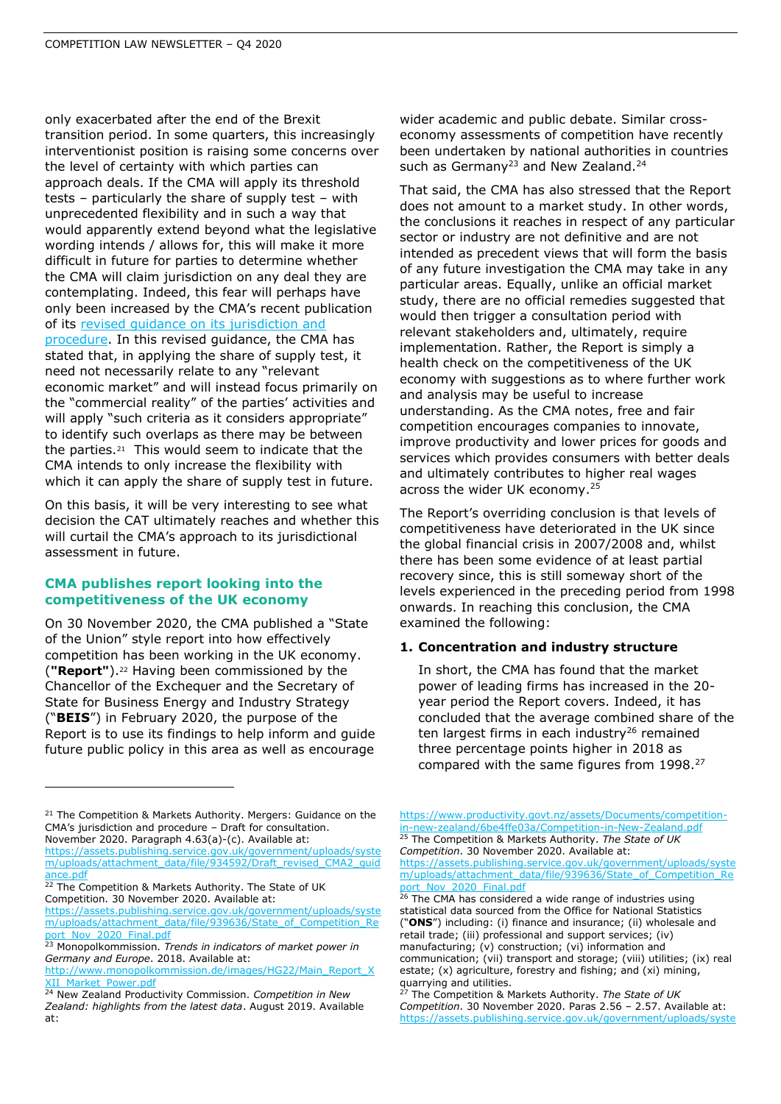only exacerbated after the end of the Brexit transition period. In some quarters, this increasingly interventionist position is raising some concerns over the level of certainty with which parties can approach deals. If the CMA will apply its threshold tests – particularly the share of supply test – with unprecedented flexibility and in such a way that would apparently extend beyond what the legislative wording intends / allows for, this will make it more difficult in future for parties to determine whether the CMA will claim jurisdiction on any deal they are contemplating. Indeed, this fear will perhaps have only been increased by the CMA's recent publication of its [revised guidance on its jurisdiction and](https://www.shlegal.com/docs/default-source/news-insights-documents/q3-competition-law-newsletter-2020.pdf?sfvrsn=f2bed5b_0)  [procedure.](https://www.shlegal.com/docs/default-source/news-insights-documents/q3-competition-law-newsletter-2020.pdf?sfvrsn=f2bed5b_0) In this revised guidance, the CMA has stated that, in applying the share of supply test, it need not necessarily relate to any "relevant economic market" and will instead focus primarily on the "commercial reality" of the parties' activities and will apply "such criteria as it considers appropriate" to identify such overlaps as there may be between the parties.<sup>21</sup> This would seem to indicate that the CMA intends to only increase the flexibility with which it can apply the share of supply test in future.

On this basis, it will be very interesting to see what decision the CAT ultimately reaches and whether this will curtail the CMA's approach to its jurisdictional assessment in future.

#### **CMA publishes report looking into the competitiveness of the UK economy**

On 30 November 2020, the CMA published a "State of the Union" style report into how effectively competition has been working in the UK economy. (**"Report"**).<sup>22</sup> Having been commissioned by the Chancellor of the Exchequer and the Secretary of State for Business Energy and Industry Strategy ("**BEIS**") in February 2020, the purpose of the Report is to use its findings to help inform and guide future public policy in this area as well as encourage

wider academic and public debate. Similar crosseconomy assessments of competition have recently been undertaken by national authorities in countries such as Germany<sup>23</sup> and New Zealand.<sup>24</sup>

That said, the CMA has also stressed that the Report does not amount to a market study. In other words, the conclusions it reaches in respect of any particular sector or industry are not definitive and are not intended as precedent views that will form the basis of any future investigation the CMA may take in any particular areas. Equally, unlike an official market study, there are no official remedies suggested that would then trigger a consultation period with relevant stakeholders and, ultimately, require implementation. Rather, the Report is simply a health check on the competitiveness of the UK economy with suggestions as to where further work and analysis may be useful to increase understanding. As the CMA notes, free and fair competition encourages companies to innovate, improve productivity and lower prices for goods and services which provides consumers with better deals and ultimately contributes to higher real wages across the wider UK economy.<sup>25</sup>

The Report's overriding conclusion is that levels of competitiveness have deteriorated in the UK since the global financial crisis in 2007/2008 and, whilst there has been some evidence of at least partial recovery since, this is still someway short of the levels experienced in the preceding period from 1998 onwards. In reaching this conclusion, the CMA examined the following:

#### **1. Concentration and industry structure**

In short, the CMA has found that the market power of leading firms has increased in the 20 year period the Report covers. Indeed, it has concluded that the average combined share of the ten largest firms in each industry<sup>26</sup> remained three percentage points higher in 2018 as compared with the same figures from 1998.<sup>27</sup>

[https://www.productivity.govt.nz/assets/Documents/competition](https://www.productivity.govt.nz/assets/Documents/competition-in-new-zealand/6be4ffe03a/Competition-in-New-Zealand.pdf)[in-new-zealand/6be4ffe03a/Competition-in-New-Zealand.pdf](https://www.productivity.govt.nz/assets/Documents/competition-in-new-zealand/6be4ffe03a/Competition-in-New-Zealand.pdf) <sup>25</sup> The Competition & Markets Authority. *The State of UK Competition*. 30 November 2020. Available at:

[https://assets.publishing.service.gov.uk/government/uploads/syste](https://assets.publishing.service.gov.uk/government/uploads/system/uploads/attachment_data/file/939636/State_of_Competition_Report_Nov_2020_Final.pdf) [m/uploads/attachment\\_data/file/939636/State\\_of\\_Competition\\_Re](https://assets.publishing.service.gov.uk/government/uploads/system/uploads/attachment_data/file/939636/State_of_Competition_Report_Nov_2020_Final.pdf) [port\\_Nov\\_2020\\_Final.pdf](https://assets.publishing.service.gov.uk/government/uploads/system/uploads/attachment_data/file/939636/State_of_Competition_Report_Nov_2020_Final.pdf)

<sup>&</sup>lt;sup>21</sup> The Competition & Markets Authority. Mergers: Guidance on the CMA's jurisdiction and procedure – Draft for consultation. November 2020. Paragraph 4.63(a)-(c). Available at:

[https://assets.publishing.service.gov.uk/government/uploads/syste](https://assets.publishing.service.gov.uk/government/uploads/system/uploads/attachment_data/file/934592/Draft_revised_CMA2_guidance.pdf) [m/uploads/attachment\\_data/file/934592/Draft\\_revised\\_CMA2\\_guid](https://assets.publishing.service.gov.uk/government/uploads/system/uploads/attachment_data/file/934592/Draft_revised_CMA2_guidance.pdf) [ance.pdf](https://assets.publishing.service.gov.uk/government/uploads/system/uploads/attachment_data/file/934592/Draft_revised_CMA2_guidance.pdf)

<sup>&</sup>lt;sup>22</sup> The Competition & Markets Authority. The State of UK Competition. 30 November 2020. Available at:

[https://assets.publishing.service.gov.uk/government/uploads/syste](https://assets.publishing.service.gov.uk/government/uploads/system/uploads/attachment_data/file/939636/State_of_Competition_Report_Nov_2020_Final.pdf) [m/uploads/attachment\\_data/file/939636/State\\_of\\_Competition\\_Re](https://assets.publishing.service.gov.uk/government/uploads/system/uploads/attachment_data/file/939636/State_of_Competition_Report_Nov_2020_Final.pdf) ort\_Nov\_2020\_Final.pdf

<sup>23</sup> Monopolkommission. *Trends in indicators of market power in Germany and Europe*. 2018. Available at:

[http://www.monopolkommission.de/images/HG22/Main\\_Report\\_X](http://www.monopolkommission.de/images/HG22/Main_Report_XXII_Market_Power.pdf) [XII\\_Market\\_Power.pdf](http://www.monopolkommission.de/images/HG22/Main_Report_XXII_Market_Power.pdf)

<sup>24</sup> New Zealand Productivity Commission. *Competition in New Zealand: highlights from the latest data*. August 2019. Available at:

<sup>&</sup>lt;sup>26</sup> The CMA has considered a wide range of industries using statistical data sourced from the Office for National Statistics ("**ONS**") including: (i) finance and insurance; (ii) wholesale and retail trade; (iii) professional and support services; (iv) manufacturing; (v) construction; (vi) information and communication; (vii) transport and storage; (viii) utilities; (ix) real estate; (x) agriculture, forestry and fishing; and (xi) mining, quarrying and utilities.

<sup>27</sup> The Competition & Markets Authority. *The State of UK Competition*. 30 November 2020. Paras 2.56 – 2.57. Available at: [https://assets.publishing.service.gov.uk/government/uploads/syste](https://assets.publishing.service.gov.uk/government/uploads/system/uploads/attachment_data/file/939636/State_of_Competition_Report_Nov_2020_Final.pdf)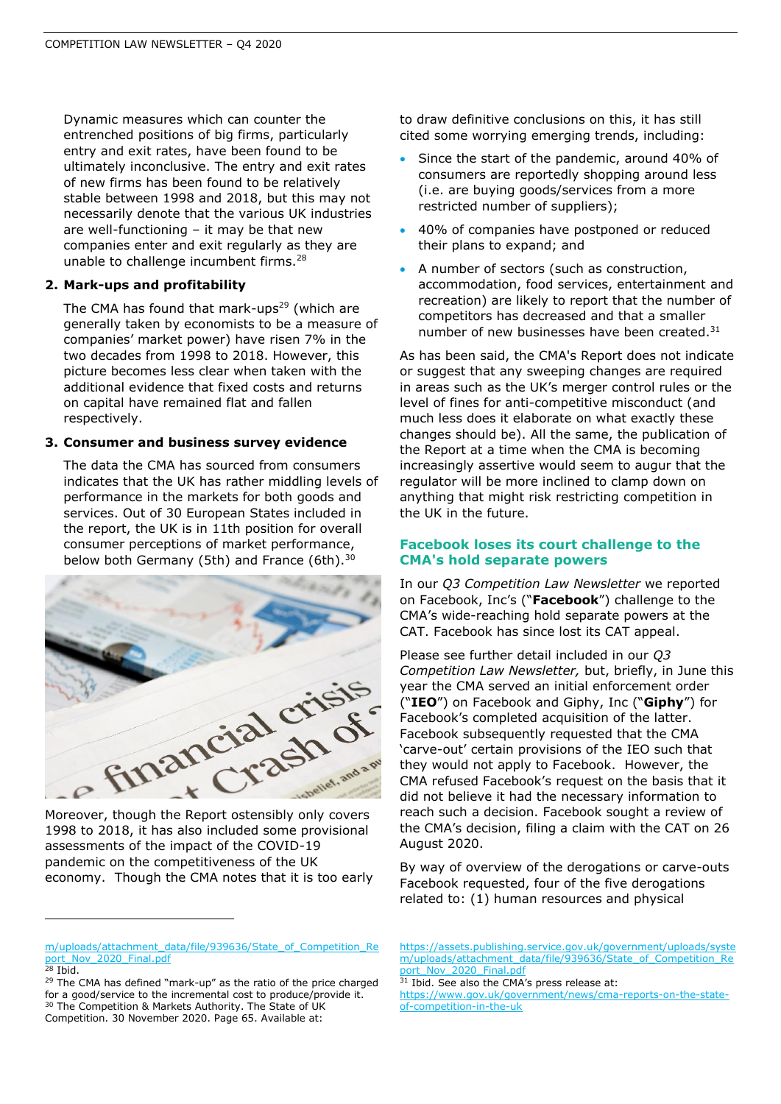Dynamic measures which can counter the entrenched positions of big firms, particularly entry and exit rates, have been found to be ultimately inconclusive. The entry and exit rates of new firms has been found to be relatively stable between 1998 and 2018, but this may not necessarily denote that the various UK industries are well-functioning – it may be that new companies enter and exit regularly as they are unable to challenge incumbent firms. $^{28}$ 

#### **2. Mark-ups and profitability**

The CMA has found that mark-ups $29$  (which are generally taken by economists to be a measure of companies' market power) have risen 7% in the two decades from 1998 to 2018. However, this picture becomes less clear when taken with the additional evidence that fixed costs and returns on capital have remained flat and fallen respectively.

#### **3. Consumer and business survey evidence**

The data the CMA has sourced from consumers indicates that the UK has rather middling levels of performance in the markets for both goods and services. Out of 30 European States included in the report, the UK is in 11th position for overall consumer perceptions of market performance, below both Germany (5th) and France (6th).<sup>30</sup>



1998 to 2018, it has also included some provisional assessments of the impact of the COVID-19 pandemic on the competitiveness of the UK economy. Though the CMA notes that it is too early to draw definitive conclusions on this, it has still cited some worrying emerging trends, including:

- Since the start of the pandemic, around 40% of consumers are reportedly shopping around less (i.e. are buying goods/services from a more restricted number of suppliers);
- 40% of companies have postponed or reduced their plans to expand; and
- A number of sectors (such as construction, accommodation, food services, entertainment and recreation) are likely to report that the number of competitors has decreased and that a smaller number of new businesses have been created.<sup>31</sup>

As has been said, the CMA's Report does not indicate or suggest that any sweeping changes are required in areas such as the UK's merger control rules or the level of fines for anti-competitive misconduct (and much less does it elaborate on what exactly these changes should be). All the same, the publication of the Report at a time when the CMA is becoming increasingly assertive would seem to augur that the regulator will be more inclined to clamp down on anything that might risk restricting competition in the UK in the future.

### **Facebook loses its court challenge to the CMA's hold separate powers**

In our *Q3 Competition Law Newsletter* we reported on Facebook, Inc's ("**Facebook**") challenge to the CMA's wide-reaching hold separate powers at the CAT. Facebook has since lost its CAT appeal.

Please see further detail included in our *Q3 Competition Law Newsletter,* but, briefly, in June this year the CMA served an initial enforcement order ("**IEO**") on Facebook and Giphy, Inc ("**Giphy**") for Facebook's completed acquisition of the latter. Facebook subsequently requested that the CMA 'carve-out' certain provisions of the IEO such that they would not apply to Facebook. However, the CMA refused Facebook's request on the basis that it did not believe it had the necessary information to reach such a decision. Facebook sought a review of the CMA's decision, filing a claim with the CAT on 26 August 2020.

By way of overview of the derogations or carve-outs Facebook requested, four of the five derogations related to: (1) human resources and physical

- [https://assets.publishing.service.gov.uk/government/uploads/syste](https://assets.publishing.service.gov.uk/government/uploads/system/uploads/attachment_data/file/939636/State_of_Competition_Report_Nov_2020_Final.pdf) [m/uploads/attachment\\_data/file/939636/State\\_of\\_Competition\\_Re](https://assets.publishing.service.gov.uk/government/uploads/system/uploads/attachment_data/file/939636/State_of_Competition_Report_Nov_2020_Final.pdf) ort\_Nov\_2020\_Final.pdf
- <sup>31</sup> Ibid. See also the CMA's press release at:

[m/uploads/attachment\\_data/file/939636/State\\_of\\_Competition\\_Re](https://assets.publishing.service.gov.uk/government/uploads/system/uploads/attachment_data/file/939636/State_of_Competition_Report_Nov_2020_Final.pdf) [port\\_Nov\\_2020\\_Final.pdf](https://assets.publishing.service.gov.uk/government/uploads/system/uploads/attachment_data/file/939636/State_of_Competition_Report_Nov_2020_Final.pdf)  $28$  Ibid.

<sup>29</sup> The CMA has defined "mark-up" as the ratio of the price charged for a good/service to the incremental cost to produce/provide it. <sup>30</sup> The Competition & Markets Authority. The State of UK Competition. 30 November 2020. Page 65. Available at:

[https://www.gov.uk/government/news/cma-reports-on-the-state](https://www.gov.uk/government/news/cma-reports-on-the-state-of-competition-in-the-uk)[of-competition-in-the-uk](https://www.gov.uk/government/news/cma-reports-on-the-state-of-competition-in-the-uk)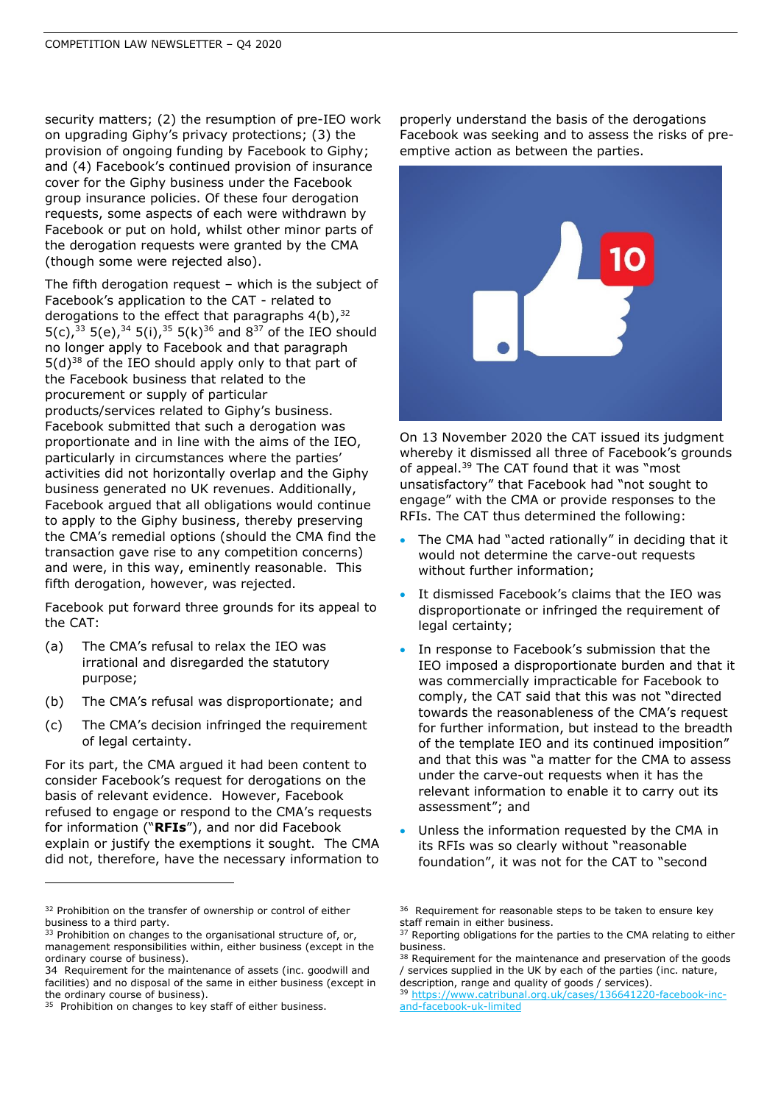security matters; (2) the resumption of pre-IEO work on upgrading Giphy's privacy protections; (3) the provision of ongoing funding by Facebook to Giphy; and (4) Facebook's continued provision of insurance cover for the Giphy business under the Facebook group insurance policies. Of these four derogation requests, some aspects of each were withdrawn by Facebook or put on hold, whilst other minor parts of the derogation requests were granted by the CMA (though some were rejected also).

The fifth derogation request – which is the subject of Facebook's application to the CAT - related to derogations to the effect that paragraphs  $4(b)$ ,  $32$ 5(c),<sup>33</sup> 5(e),<sup>34</sup> 5(i),<sup>35</sup> 5(k)<sup>36</sup> and 8<sup>37</sup> of the IEO should no longer apply to Facebook and that paragraph  $5(d)^{38}$  of the IEO should apply only to that part of the Facebook business that related to the procurement or supply of particular products/services related to Giphy's business. Facebook submitted that such a derogation was proportionate and in line with the aims of the IEO, particularly in circumstances where the parties' activities did not horizontally overlap and the Giphy business generated no UK revenues. Additionally, Facebook argued that all obligations would continue to apply to the Giphy business, thereby preserving the CMA's remedial options (should the CMA find the transaction gave rise to any competition concerns) and were, in this way, eminently reasonable. This fifth derogation, however, was rejected.

Facebook put forward three grounds for its appeal to the CAT:

- (a) The CMA's refusal to relax the IEO was irrational and disregarded the statutory purpose;
- (b) The CMA's refusal was disproportionate; and
- (c) The CMA's decision infringed the requirement of legal certainty.

For its part, the CMA argued it had been content to consider Facebook's request for derogations on the basis of relevant evidence. However, Facebook refused to engage or respond to the CMA's requests for information ("**RFIs**"), and nor did Facebook explain or justify the exemptions it sought. The CMA did not, therefore, have the necessary information to

properly understand the basis of the derogations Facebook was seeking and to assess the risks of preemptive action as between the parties.



On 13 November 2020 the CAT issued its judgment whereby it dismissed all three of Facebook's grounds of appeal.<sup>39</sup> The CAT found that it was "most unsatisfactory" that Facebook had "not sought to engage" with the CMA or provide responses to the RFIs. The CAT thus determined the following:

- The CMA had "acted rationally" in deciding that it would not determine the carve-out requests without further information;
- It dismissed Facebook's claims that the IEO was disproportionate or infringed the requirement of legal certainty;
- In response to Facebook's submission that the IEO imposed a disproportionate burden and that it was commercially impracticable for Facebook to comply, the CAT said that this was not "directed towards the reasonableness of the CMA's request for further information, but instead to the breadth of the template IEO and its continued imposition" and that this was "a matter for the CMA to assess under the carve-out requests when it has the relevant information to enable it to carry out its assessment"; and
- Unless the information requested by the CMA in its RFIs was so clearly without "reasonable foundation", it was not for the CAT to "second

<sup>&</sup>lt;sup>32</sup> Prohibition on the transfer of ownership or control of either business to a third party.

<sup>&</sup>lt;sup>33</sup> Prohibition on changes to the organisational structure of, or, management responsibilities within, either business (except in the ordinary course of business).

<sup>34</sup> Requirement for the maintenance of assets (inc. goodwill and facilities) and no disposal of the same in either business (except in the ordinary course of business).

<sup>&</sup>lt;sup>35</sup> Prohibition on changes to key staff of either business.

<sup>&</sup>lt;sup>36</sup> Requirement for reasonable steps to be taken to ensure key staff remain in either business.

<sup>&</sup>lt;sup>37</sup> Reporting obligations for the parties to the CMA relating to either business.

<sup>&</sup>lt;sup>38</sup> Requirement for the maintenance and preservation of the goods / services supplied in the UK by each of the parties (inc. nature, description, range and quality of goods / services).

<sup>39</sup> [https://www.catribunal.org.uk/cases/136641220-facebook-inc](https://www.catribunal.org.uk/cases/136641220-facebook-inc-and-facebook-uk-limited)[and-facebook-uk-limited](https://www.catribunal.org.uk/cases/136641220-facebook-inc-and-facebook-uk-limited)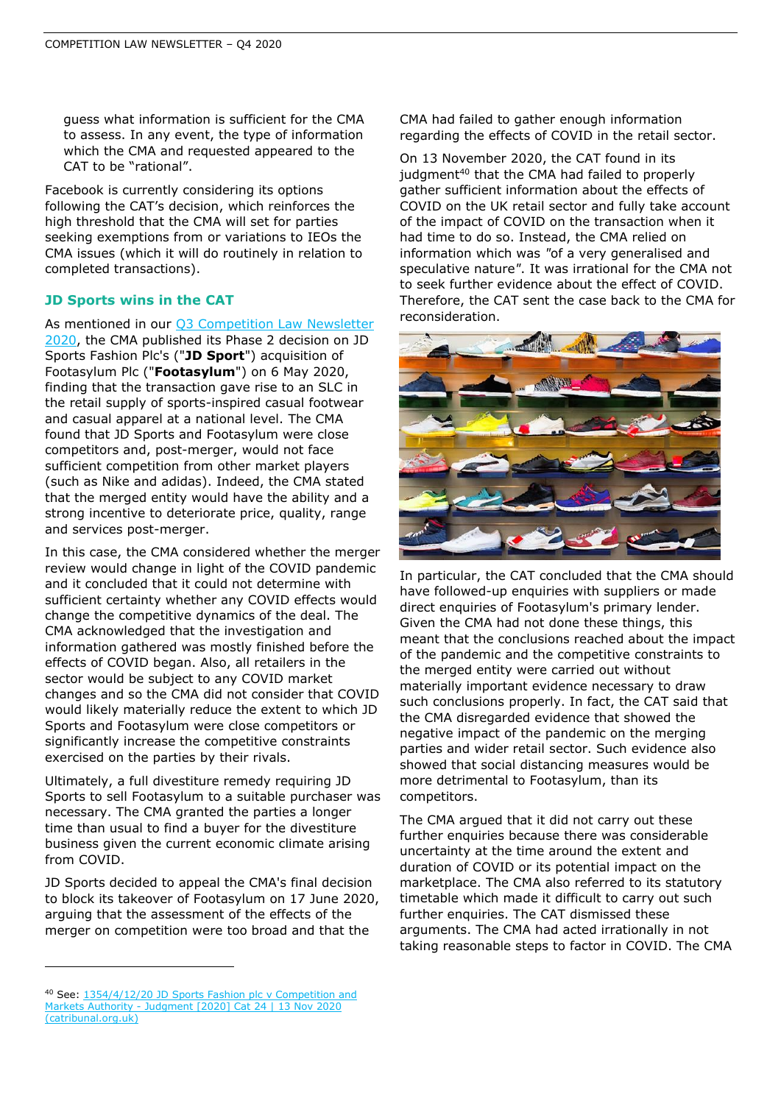guess what information is sufficient for the CMA to assess. In any event, the type of information which the CMA and requested appeared to the CAT to be "rational".

Facebook is currently considering its options following the CAT's decision, which reinforces the high threshold that the CMA will set for parties seeking exemptions from or variations to IEOs the CMA issues (which it will do routinely in relation to completed transactions).

# **JD Sports wins in the CAT**

As mentioned in our **Q3 Competition Law Newsletter** [2020,](file:///C:/NRPortbl/LONADMIN/SPENSW/q3-competition-law-newsletter-2020.pdf%20(shlegal.com)) the CMA published its Phase 2 decision on JD Sports Fashion Plc's ("**JD Sport**") acquisition of Footasylum Plc ("**Footasylum**") on 6 May 2020, finding that the transaction gave rise to an SLC in the retail supply of sports-inspired casual footwear and casual apparel at a national level. The CMA found that JD Sports and Footasylum were close competitors and, post-merger, would not face sufficient competition from other market players (such as Nike and adidas). Indeed, the CMA stated that the merged entity would have the ability and a strong incentive to deteriorate price, quality, range and services post-merger.

In this case, the CMA considered whether the merger review would change in light of the COVID pandemic and it concluded that it could not determine with sufficient certainty whether any COVID effects would change the competitive dynamics of the deal. The CMA acknowledged that the investigation and information gathered was mostly finished before the effects of COVID began. Also, all retailers in the sector would be subject to any COVID market changes and so the CMA did not consider that COVID would likely materially reduce the extent to which JD Sports and Footasylum were close competitors or significantly increase the competitive constraints exercised on the parties by their rivals.

Ultimately, a full divestiture remedy requiring JD Sports to sell Footasylum to a suitable purchaser was necessary. The CMA granted the parties a longer time than usual to find a buyer for the divestiture business given the current economic climate arising from COVID.

JD Sports decided to appeal the CMA's final decision to block its takeover of Footasylum on 17 June 2020, arguing that the assessment of the effects of the merger on competition were too broad and that the

CMA had failed to gather enough information regarding the effects of COVID in the retail sector.

On 13 November 2020, the CAT found in its judgment<sup>40</sup> that the CMA had failed to properly gather sufficient information about the effects of COVID on the UK retail sector and fully take account of the impact of COVID on the transaction when it had time to do so. Instead, the CMA relied on information which was *"*of a very generalised and speculative nature*"*. It was irrational for the CMA not to seek further evidence about the effect of COVID. Therefore, the CAT sent the case back to the CMA for reconsideration.



In particular, the CAT concluded that the CMA should have followed-up enquiries with suppliers or made direct enquiries of Footasylum's primary lender. Given the CMA had not done these things, this meant that the conclusions reached about the impact of the pandemic and the competitive constraints to the merged entity were carried out without materially important evidence necessary to draw such conclusions properly. In fact, the CAT said that the CMA disregarded evidence that showed the negative impact of the pandemic on the merging parties and wider retail sector. Such evidence also showed that social distancing measures would be more detrimental to Footasylum, than its competitors.

The CMA argued that it did not carry out these further enquiries because there was considerable uncertainty at the time around the extent and duration of COVID or its potential impact on the marketplace. The CMA also referred to its statutory timetable which made it difficult to carry out such further enquiries. The CAT dismissed these arguments. The CMA had acted irrationally in not taking reasonable steps to factor in COVID. The CMA

<sup>40</sup> See[: 1354/4/12/20 JD Sports Fashion plc](https://www.catribunal.org.uk/sites/default/files/2020-11/1354_JDSports_Judgment_%5B2020%5D_CAT24_131120.pdf) v Competition and Markets Authority - [Judgment \[2020\] Cat 24 | 13 Nov 2020](https://www.catribunal.org.uk/sites/default/files/2020-11/1354_JDSports_Judgment_%5B2020%5D_CAT24_131120.pdf)  [\(catribunal.org.uk\)](https://www.catribunal.org.uk/sites/default/files/2020-11/1354_JDSports_Judgment_%5B2020%5D_CAT24_131120.pdf)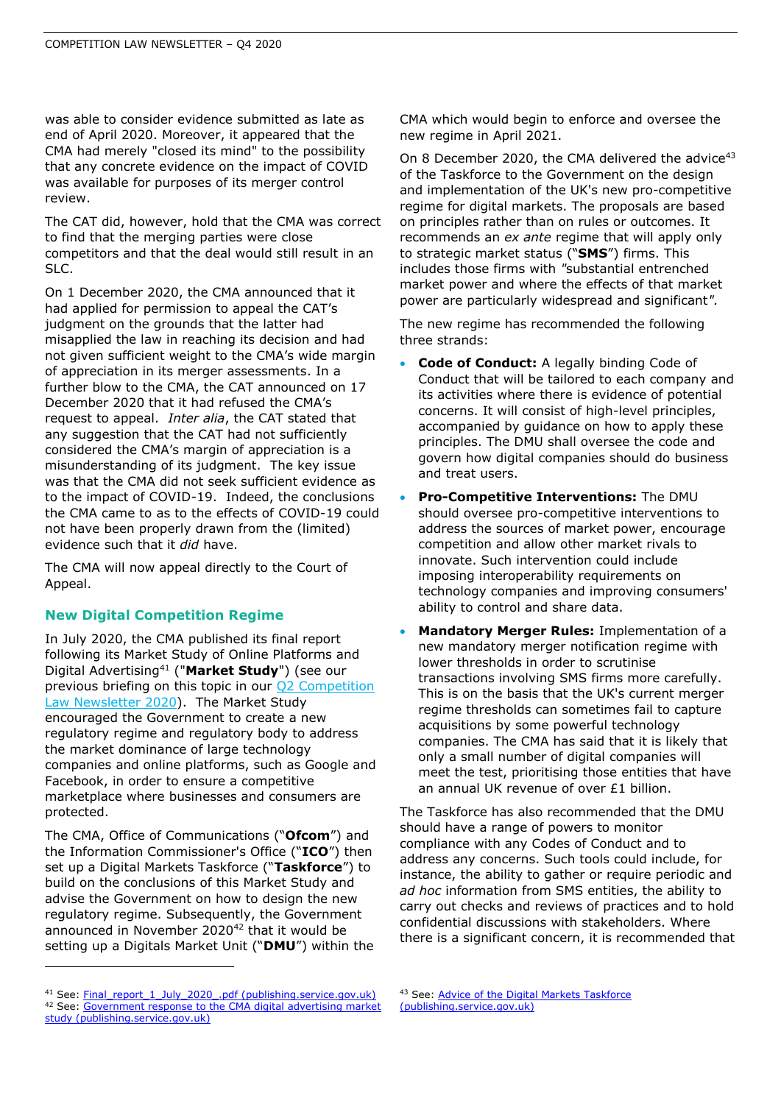was able to consider evidence submitted as late as end of April 2020. Moreover, it appeared that the CMA had merely "closed its mind" to the possibility that any concrete evidence on the impact of COVID was available for purposes of its merger control review.

The CAT did, however, hold that the CMA was correct to find that the merging parties were close competitors and that the deal would still result in an SLC.

On 1 December 2020, the CMA announced that it had applied for permission to appeal the CAT's judgment on the grounds that the latter had misapplied the law in reaching its decision and had not given sufficient weight to the CMA's wide margin of appreciation in its merger assessments. In a further blow to the CMA, the CAT announced on 17 December 2020 that it had refused the CMA's request to appeal. *Inter alia*, the CAT stated that any suggestion that the CAT had not sufficiently considered the CMA's margin of appreciation is a misunderstanding of its judgment. The key issue was that the CMA did not seek sufficient evidence as to the impact of COVID-19. Indeed, the conclusions the CMA came to as to the effects of COVID-19 could not have been properly drawn from the (limited) evidence such that it *did* have.

The CMA will now appeal directly to the Court of Appeal.

# **New Digital Competition Regime**

In July 2020, the CMA published its final report following its Market Study of Online Platforms and Digital Advertising<sup>41</sup> ("**Market Study**") (see our previous briefing on this topic in our [Q2 Competition](https://www.shlegal.com/docs/default-source/news-insights-documents/stephenson-harwood-llp-competition-group-newsletter---q2-2020.pdf?sfvrsn=b1b5ec5b_0)  [Law Newsletter 2020\)](https://www.shlegal.com/docs/default-source/news-insights-documents/stephenson-harwood-llp-competition-group-newsletter---q2-2020.pdf?sfvrsn=b1b5ec5b_0). The Market Study encouraged the Government to create a new regulatory regime and regulatory body to address the market dominance of large technology companies and online platforms, such as Google and Facebook, in order to ensure a competitive marketplace where businesses and consumers are protected.

The CMA, Office of Communications ("**Ofcom**") and the Information Commissioner's Office ("**ICO**") then set up a Digital Markets Taskforce ("**Taskforce**") to build on the conclusions of this Market Study and advise the Government on how to design the new regulatory regime. Subsequently, the Government announced in November 2020<sup>42</sup> that it would be setting up a Digitals Market Unit ("**DMU**") within the CMA which would begin to enforce and oversee the new regime in April 2021.

On 8 December 2020, the CMA delivered the advice<sup>43</sup> of the Taskforce to the Government on the design and implementation of the UK's new pro-competitive regime for digital markets. The proposals are based on principles rather than on rules or outcomes. It recommends an *ex ante* regime that will apply only to strategic market status ("**SMS**") firms. This includes those firms with *"*substantial entrenched market power and where the effects of that market power are particularly widespread and significant*".*

The new regime has recommended the following three strands:

- **Code of Conduct:** A legally binding Code of Conduct that will be tailored to each company and its activities where there is evidence of potential concerns. It will consist of high-level principles, accompanied by guidance on how to apply these principles. The DMU shall oversee the code and govern how digital companies should do business and treat users.
- **Pro-Competitive Interventions:** The DMU should oversee pro-competitive interventions to address the sources of market power, encourage competition and allow other market rivals to innovate. Such intervention could include imposing interoperability requirements on technology companies and improving consumers' ability to control and share data.
- **Mandatory Merger Rules:** Implementation of a new mandatory merger notification regime with lower thresholds in order to scrutinise transactions involving SMS firms more carefully. This is on the basis that the UK's current merger regime thresholds can sometimes fail to capture acquisitions by some powerful technology companies. The CMA has said that it is likely that only a small number of digital companies will meet the test, prioritising those entities that have an annual UK revenue of over £1 billion.

The Taskforce has also recommended that the DMU should have a range of powers to monitor compliance with any Codes of Conduct and to address any concerns. Such tools could include, for instance, the ability to gather or require periodic and *ad hoc* information from SMS entities, the ability to carry out checks and reviews of practices and to hold confidential discussions with stakeholders. Where there is a significant concern, it is recommended that

<sup>&</sup>lt;sup>41</sup> See[: Final\\_report\\_1\\_July\\_2020\\_.pdf \(publishing.service.gov.uk\)](https://assets.publishing.service.gov.uk/media/5efc57ed3a6f4023d242ed56/Final_report_1_July_2020_.pdf) 42 See: Government response to the CMA digital advertising market [study \(publishing.service.gov.uk\)](https://assets.publishing.service.gov.uk/government/uploads/system/uploads/attachment_data/file/939008/government-response-to-cma-study.pdf)

<sup>43</sup> See: Advice of the Digital Markets Taskforce [\(publishing.service.gov.uk\)](https://assets.publishing.service.gov.uk/media/5fce7567e90e07562f98286c/Digital_Taskforce_-_Advice_--.pdf)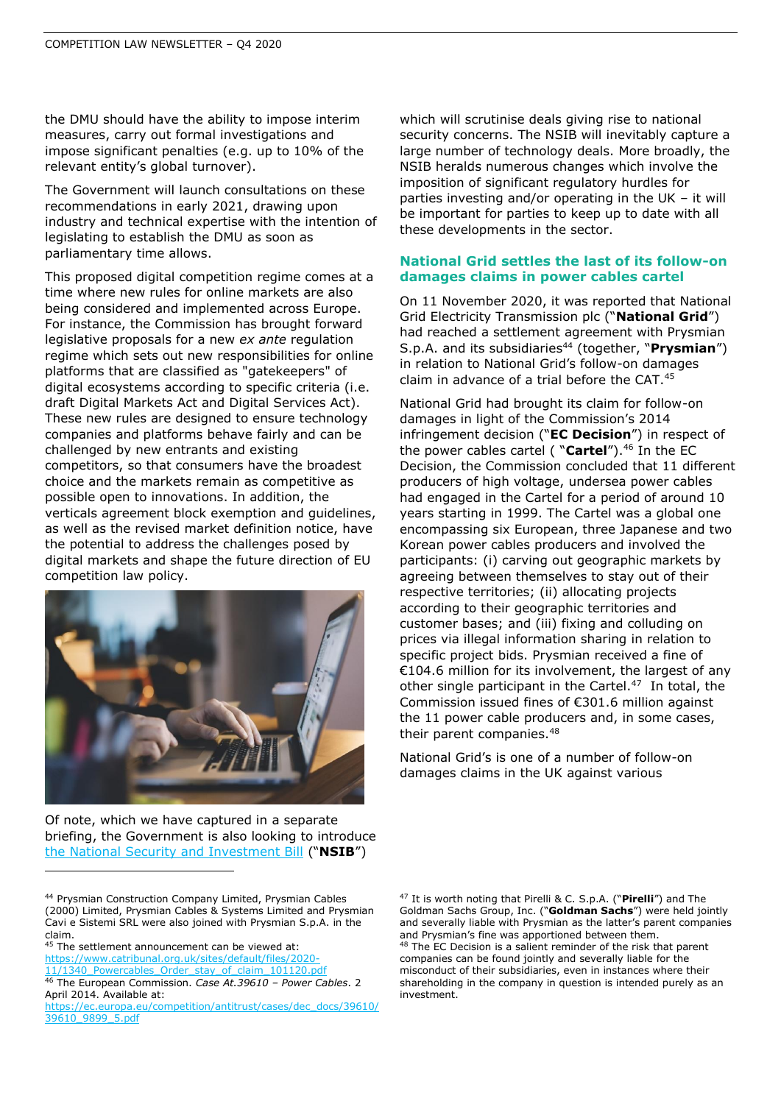the DMU should have the ability to impose interim measures, carry out formal investigations and impose significant penalties (e.g. up to 10% of the relevant entity's global turnover).

The Government will launch consultations on these recommendations in early 2021, drawing upon industry and technical expertise with the intention of legislating to establish the DMU as soon as parliamentary time allows.

This proposed digital competition regime comes at a time where new rules for online markets are also being considered and implemented across Europe. For instance, the Commission has brought forward legislative proposals for a new *ex ante* regulation regime which sets out new responsibilities for online platforms that are classified as "gatekeepers" of digital ecosystems according to specific criteria (i.e. draft Digital Markets Act and Digital Services Act). These new rules are designed to ensure technology companies and platforms behave fairly and can be challenged by new entrants and existing competitors, so that consumers have the broadest choice and the markets remain as competitive as possible open to innovations. In addition, the verticals agreement block exemption and guidelines, as well as the revised market definition notice, have the potential to address the challenges posed by digital markets and shape the future direction of EU competition law policy.



Of note, which we have captured in a separate briefing, the Government is also looking to introduce [the National Security and Investment Bill](https://www.shlegal.com/docs/default-source/news-insights-documents/the-uk-introduces-audacious-new-national-security-and-investment-bill---december-2020.pdf?sfvrsn=dfc9ed5b_0) ("**NSIB**")

45 The settlement announcement can be viewed at:

[https://www.catribunal.org.uk/sites/default/files/2020-](https://www.catribunal.org.uk/sites/default/files/2020-11/1340_Powercables_Order_stay_of_claim_101120.pdf) 11/1340 Powercables Order stay of claim 101120.pdf

<sup>46</sup> The European Commission. *Case At.39610 – Power Cables*. 2 April 2014. Available at:

which will scrutinise deals giving rise to national security concerns. The NSIB will inevitably capture a large number of technology deals. More broadly, the NSIB heralds numerous changes which involve the imposition of significant regulatory hurdles for parties investing and/or operating in the UK – it will be important for parties to keep up to date with all these developments in the sector.

#### **National Grid settles the last of its follow-on damages claims in power cables cartel**

On 11 November 2020, it was reported that National Grid Electricity Transmission plc ("**National Grid**") had reached a settlement agreement with Prysmian S.p.A. and its subsidiaries<sup>44</sup> (together, "Prysmian") in relation to National Grid's follow-on damages claim in advance of a trial before the CAT.<sup>45</sup>

National Grid had brought its claim for follow-on damages in light of the Commission's 2014 infringement decision ("**EC Decision**") in respect of the power cables cartel ( "Cartel").<sup>46</sup> In the EC Decision, the Commission concluded that 11 different producers of high voltage, undersea power cables had engaged in the Cartel for a period of around 10 years starting in 1999. The Cartel was a global one encompassing six European, three Japanese and two Korean power cables producers and involved the participants: (i) carving out geographic markets by agreeing between themselves to stay out of their respective territories; (ii) allocating projects according to their geographic territories and customer bases; and (iii) fixing and colluding on prices via illegal information sharing in relation to specific project bids. Prysmian received a fine of €104.6 million for its involvement, the largest of any other single participant in the Cartel.<sup>47</sup> In total, the Commission issued fines of €301.6 million against the 11 power cable producers and, in some cases, their parent companies.<sup>48</sup>

National Grid's is one of a number of follow-on damages claims in the UK against various

<sup>44</sup> Prysmian Construction Company Limited, Prysmian Cables (2000) Limited, Prysmian Cables & Systems Limited and Prysmian Cavi e Sistemi SRL were also joined with Prysmian S.p.A. in the claim.

[https://ec.europa.eu/competition/antitrust/cases/dec\\_docs/39610/](https://ec.europa.eu/competition/antitrust/cases/dec_docs/39610/39610_9899_5.pdf) [39610\\_9899\\_5.pdf](https://ec.europa.eu/competition/antitrust/cases/dec_docs/39610/39610_9899_5.pdf)

<sup>47</sup> It is worth noting that Pirelli & C. S.p.A. ("**Pirelli**") and The Goldman Sachs Group, Inc. ("**Goldman Sachs**") were held jointly and severally liable with Prysmian as the latter's parent companies and Prysmian's fine was apportioned between them. <sup>48</sup> The EC Decision is a salient reminder of the risk that parent companies can be found jointly and severally liable for the misconduct of their subsidiaries, even in instances where their shareholding in the company in question is intended purely as an investment.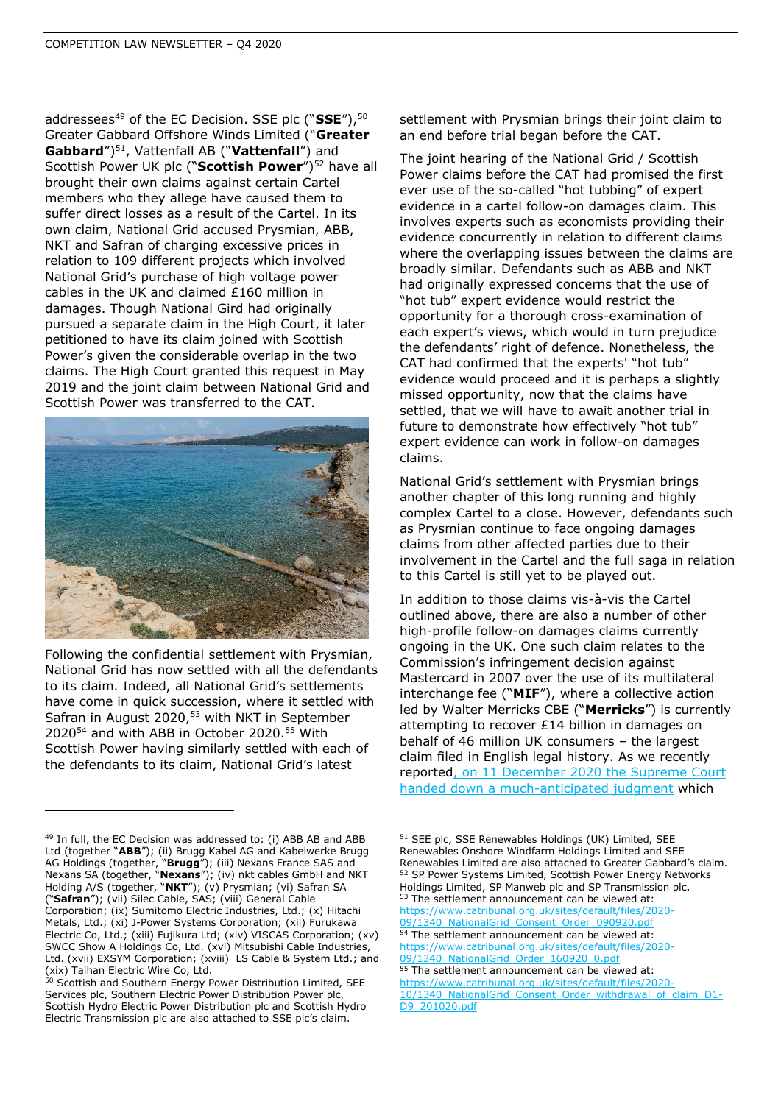addressees<sup>49</sup> of the EC Decision. SSE plc ("SSE"),<sup>50</sup> Greater Gabbard Offshore Winds Limited ("**Greater Gabbard**")<sup>51</sup>, Vattenfall AB ("**Vattenfall**") and Scottish Power UK plc ("Scottish Power")<sup>52</sup> have all brought their own claims against certain Cartel members who they allege have caused them to suffer direct losses as a result of the Cartel. In its own claim, National Grid accused Prysmian, ABB, NKT and Safran of charging excessive prices in relation to 109 different projects which involved National Grid's purchase of high voltage power cables in the UK and claimed £160 million in damages. Though National Gird had originally pursued a separate claim in the High Court, it later petitioned to have its claim joined with Scottish Power's given the considerable overlap in the two claims. The High Court granted this request in May 2019 and the joint claim between National Grid and Scottish Power was transferred to the CAT.



Following the confidential settlement with Prysmian, National Grid has now settled with all the defendants to its claim. Indeed, all National Grid's settlements have come in quick succession, where it settled with Safran in August 2020,<sup>53</sup> with NKT in September 2020<sup>54</sup> and with ABB in October 2020. <sup>55</sup> With Scottish Power having similarly settled with each of the defendants to its claim, National Grid's latest

settlement with Prysmian brings their joint claim to an end before trial began before the CAT.

The joint hearing of the National Grid / Scottish Power claims before the CAT had promised the first ever use of the so-called "hot tubbing" of expert evidence in a cartel follow-on damages claim. This involves experts such as economists providing their evidence concurrently in relation to different claims where the overlapping issues between the claims are broadly similar. Defendants such as ABB and NKT had originally expressed concerns that the use of "hot tub" expert evidence would restrict the opportunity for a thorough cross-examination of each expert's views, which would in turn prejudice the defendants' right of defence. Nonetheless, the CAT had confirmed that the experts' "hot tub" evidence would proceed and it is perhaps a slightly missed opportunity, now that the claims have settled, that we will have to await another trial in future to demonstrate how effectively "hot tub" expert evidence can work in follow-on damages claims.

National Grid's settlement with Prysmian brings another chapter of this long running and highly complex Cartel to a close. However, defendants such as Prysmian continue to face ongoing damages claims from other affected parties due to their involvement in the Cartel and the full saga in relation to this Cartel is still yet to be played out.

In addition to those claims vis-à-vis the Cartel outlined above, there are also a number of other high-profile follow-on damages claims currently ongoing in the UK. One such claim relates to the Commission's infringement decision against Mastercard in 2007 over the use of its multilateral interchange fee ("**MIF**"), where a collective action led by Walter Merricks CBE ("**Merricks**") is currently attempting to recover £14 billion in damages on behalf of 46 million UK consumers – the largest claim filed in English legal history. As we recently reporte[d, on 11 December 2020 the Supreme Court](https://www.shlegal.com/insights/supreme-court-judgment-in-merricks-opens-the-door-for-other-collective-actions-such-as-gutmann)  [handed down a much-anticipated judgment](https://www.shlegal.com/insights/supreme-court-judgment-in-merricks-opens-the-door-for-other-collective-actions-such-as-gutmann) which

[https://www.catribunal.org.uk/sites/default/files/2020-](https://www.catribunal.org.uk/sites/default/files/2020-09/1340_NationalGrid_Order_160920_0.pdf) [09/1340\\_NationalGrid\\_Order\\_160920\\_0.pdf](https://www.catribunal.org.uk/sites/default/files/2020-09/1340_NationalGrid_Order_160920_0.pdf) 55 The settlement announcement can be viewed at: [https://www.catribunal.org.uk/sites/default/files/2020-](https://www.catribunal.org.uk/sites/default/files/2020-10/1340_NationalGrid_Consent_Order_withdrawal_of_claim_D1-D9_201020.pdf) [10/1340\\_NationalGrid\\_Consent\\_Order\\_withdrawal\\_of\\_claim\\_D1-](https://www.catribunal.org.uk/sites/default/files/2020-10/1340_NationalGrid_Consent_Order_withdrawal_of_claim_D1-D9_201020.pdf)

[D9\\_201020.pdf](https://www.catribunal.org.uk/sites/default/files/2020-10/1340_NationalGrid_Consent_Order_withdrawal_of_claim_D1-D9_201020.pdf)

<sup>&</sup>lt;sup>49</sup> In full, the EC Decision was addressed to: (i) ABB AB and ABB Ltd (together "**ABB**"); (ii) Brugg Kabel AG and Kabelwerke Brugg AG Holdings (together, "**Brugg**"); (iii) Nexans France SAS and Nexans SA (together, "**Nexans**"); (iv) nkt cables GmbH and NKT Holding A/S (together, "**NKT**"); (v) Prysmian; (vi) Safran SA ("**Safran**"); (vii) Silec Cable, SAS; (viii) General Cable Corporation; (ix) Sumitomo Electric Industries, Ltd.; (x) Hitachi Metals, Ltd.; (xi) J-Power Systems Corporation; (xii) Furukawa Electric Co, Ltd.; (xiii) Fujikura Ltd; (xiv) VISCAS Corporation; (xv) SWCC Show A Holdings Co, Ltd. (xvi) Mitsubishi Cable Industries, Ltd. (xvii) EXSYM Corporation; (xviii) LS Cable & System Ltd.; and (xix) Taihan Electric Wire Co, Ltd.

<sup>50</sup> Scottish and Southern Energy Power Distribution Limited, SEE Services plc, Southern Electric Power Distribution Power plc, Scottish Hydro Electric Power Distribution plc and Scottish Hydro Electric Transmission plc are also attached to SSE plc's claim.

<sup>51</sup> SEE plc, SSE Renewables Holdings (UK) Limited, SEE Renewables Onshore Windfarm Holdings Limited and SEE Renewables Limited are also attached to Greater Gabbard's claim. <sup>52</sup> SP Power Systems Limited, Scottish Power Energy Networks Holdings Limited, SP Manweb plc and SP Transmission plc. 53 The settlement announcement can be viewed at: [https://www.catribunal.org.uk/sites/default/files/2020-](https://www.catribunal.org.uk/sites/default/files/2020-09/1340_NationalGrid_Consent_Order_090920.pdf) 09/1340 NationalGrid Consent Order 090920.pdf 54 The settlement announcement can be viewed at: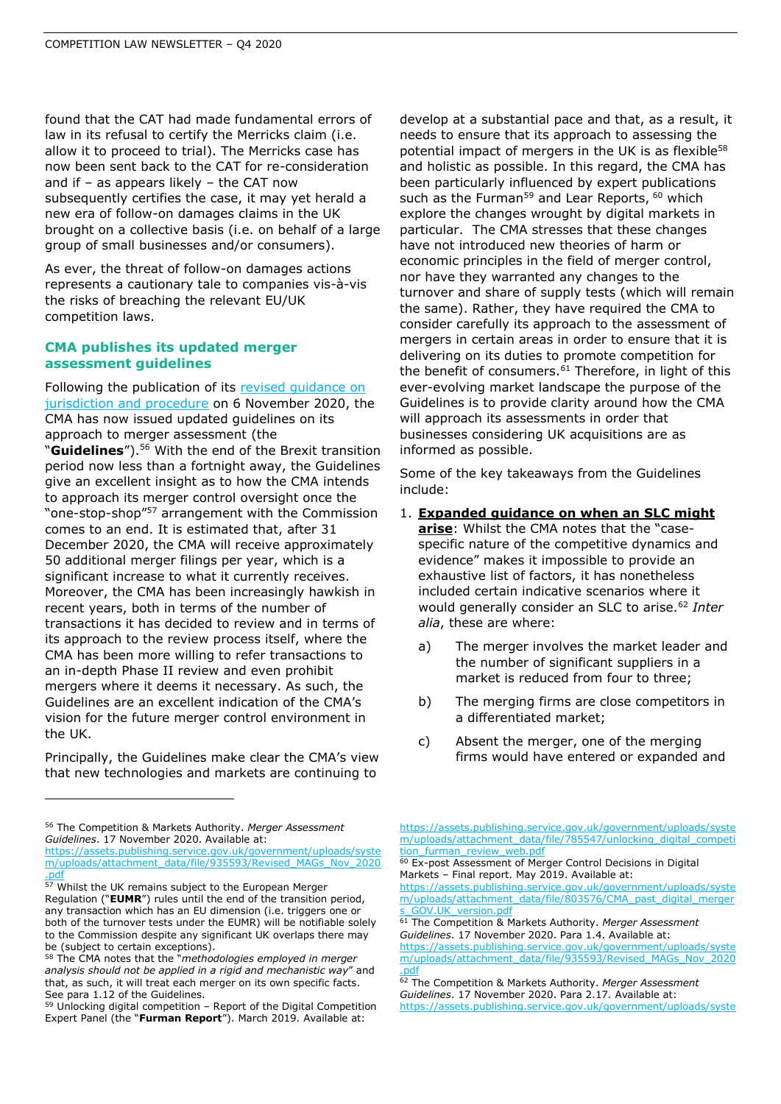found that the CAT had made fundamental errors of law in its refusal to certify the Merricks claim (i.e. allow it to proceed to trial). The Merricks case has now been sent back to the CAT for re-consideration and if  $-$  as appears likely  $-$  the CAT now subsequently certifies the case, it may yet herald a new era of follow-on damages claims in the UK brought on a collective basis (i.e. on behalf of a large group of small businesses and/or consumers).

As ever, the threat of follow-on damages actions represents a cautionary tale to companies vis-à-vis the risks of breaching the relevant EU/UK competition laws.

#### **CMA publishes its updated merger assessment guidelines**

Following the publication of its revised quidance on [jurisdiction and procedure](https://www.shlegal.com/docs/default-source/news-insights-documents/q3-competition-law-newsletter-2020.pdf?sfvrsn=f2bed5b_0) on 6 November 2020, the CMA has now issued updated guidelines on its approach to merger assessment (the "**Guidelines**").<sup>56</sup> With the end of the Brexit transition period now less than a fortnight away, the Guidelines give an excellent insight as to how the CMA intends to approach its merger control oversight once the "one-stop-shop"<sup>57</sup> arrangement with the Commission comes to an end. It is estimated that, after 31 December 2020, the CMA will receive approximately 50 additional merger filings per year, which is a significant increase to what it currently receives. Moreover, the CMA has been increasingly hawkish in recent years, both in terms of the number of transactions it has decided to review and in terms of its approach to the review process itself, where the CMA has been more willing to refer transactions to an in-depth Phase II review and even prohibit mergers where it deems it necessary. As such, the Guidelines are an excellent indication of the CMA's vision for the future merger control environment in the UK.

Principally, the Guidelines make clear the CMA's view that new technologies and markets are continuing to

<sup>56</sup> The Competition & Markets Authority. *Merger Assessment Guidelines*. 17 November 2020. Available at:

[https://assets.publishing.service.gov.uk/government/uploads/syste](https://assets.publishing.service.gov.uk/government/uploads/system/uploads/attachment_data/file/935593/Revised_MAGs_Nov_2020.pdf) [m/uploads/attachment\\_data/file/935593/Revised\\_MAGs\\_Nov\\_2020](https://assets.publishing.service.gov.uk/government/uploads/system/uploads/attachment_data/file/935593/Revised_MAGs_Nov_2020.pdf) [.pdf](https://assets.publishing.service.gov.uk/government/uploads/system/uploads/attachment_data/file/935593/Revised_MAGs_Nov_2020.pdf)

develop at a substantial pace and that, as a result, it needs to ensure that its approach to assessing the potential impact of mergers in the UK is as flexible<sup>58</sup> and holistic as possible. In this regard, the CMA has been particularly influenced by expert publications such as the Furman<sup>59</sup> and Lear Reports, <sup>60</sup> which explore the changes wrought by digital markets in particular. The CMA stresses that these changes have not introduced new theories of harm or economic principles in the field of merger control, nor have they warranted any changes to the turnover and share of supply tests (which will remain the same). Rather, they have required the CMA to consider carefully its approach to the assessment of mergers in certain areas in order to ensure that it is delivering on its duties to promote competition for the benefit of consumers. $61$  Therefore, in light of this ever-evolving market landscape the purpose of the Guidelines is to provide clarity around how the CMA will approach its assessments in order that businesses considering UK acquisitions are as informed as possible.

Some of the key takeaways from the Guidelines include:

- 1. **Expanded guidance on when an SLC might arise**: Whilst the CMA notes that the "casespecific nature of the competitive dynamics and evidence" makes it impossible to provide an exhaustive list of factors, it has nonetheless included certain indicative scenarios where it would generally consider an SLC to arise.<sup>62</sup> *Inter alia*, these are where:
	- a) The merger involves the market leader and the number of significant suppliers in a market is reduced from four to three;
	- b) The merging firms are close competitors in a differentiated market;
	- c) Absent the merger, one of the merging firms would have entered or expanded and

60 Ex-post Assessment of Merger Control Decisions in Digital Markets – Final report. May 2019. Available at:

[https://assets.publishing.service.gov.uk/government/uploads/syste](https://assets.publishing.service.gov.uk/government/uploads/system/uploads/attachment_data/file/803576/CMA_past_digital_mergers_GOV.UK_version.pdf) [m/uploads/attachment\\_data/file/803576/CMA\\_past\\_digital\\_merger](https://assets.publishing.service.gov.uk/government/uploads/system/uploads/attachment_data/file/803576/CMA_past_digital_mergers_GOV.UK_version.pdf) GOV.UK\_version.pdf

<sup>&</sup>lt;sup>57</sup> Whilst the UK remains subject to the European Merger Regulation ("**EUMR**") rules until the end of the transition period, any transaction which has an EU dimension (i.e. triggers one or both of the turnover tests under the EUMR) will be notifiable solely to the Commission despite any significant UK overlaps there may be (subject to certain exceptions).

<sup>58</sup> The CMA notes that the "*methodologies employed in merger analysis should not be applied in a rigid and mechanistic way*" and that, as such, it will treat each merger on its own specific facts. See para 1.12 of the Guidelines.

<sup>59</sup> Unlocking digital competition – Report of the Digital Competition Expert Panel (the "**Furman Report**"). March 2019. Available at:

[https://assets.publishing.service.gov.uk/government/uploads/syste](https://assets.publishing.service.gov.uk/government/uploads/system/uploads/attachment_data/file/785547/unlocking_digital_competition_furman_review_web.pdf) [m/uploads/attachment\\_data/file/785547/unlocking\\_digital\\_competi](https://assets.publishing.service.gov.uk/government/uploads/system/uploads/attachment_data/file/785547/unlocking_digital_competition_furman_review_web.pdf) tion furman\_review\_web.pdf

<sup>61</sup> The Competition & Markets Authority. *Merger Assessment Guidelines*. 17 November 2020. Para 1.4. Available at: [https://assets.publishing.service.gov.uk/government/uploads/syste](https://assets.publishing.service.gov.uk/government/uploads/system/uploads/attachment_data/file/935593/Revised_MAGs_Nov_2020.pdf) [m/uploads/attachment\\_data/file/935593/Revised\\_MAGs\\_Nov\\_2020](https://assets.publishing.service.gov.uk/government/uploads/system/uploads/attachment_data/file/935593/Revised_MAGs_Nov_2020.pdf) [.pdf](https://assets.publishing.service.gov.uk/government/uploads/system/uploads/attachment_data/file/935593/Revised_MAGs_Nov_2020.pdf)

<sup>62</sup> The Competition & Markets Authority. *Merger Assessment Guidelines*. 17 November 2020. Para 2.17. Available at: [https://assets.publishing.service.gov.uk/government/uploads/syste](https://assets.publishing.service.gov.uk/government/uploads/system/uploads/attachment_data/file/935593/Revised_MAGs_Nov_2020.pdf)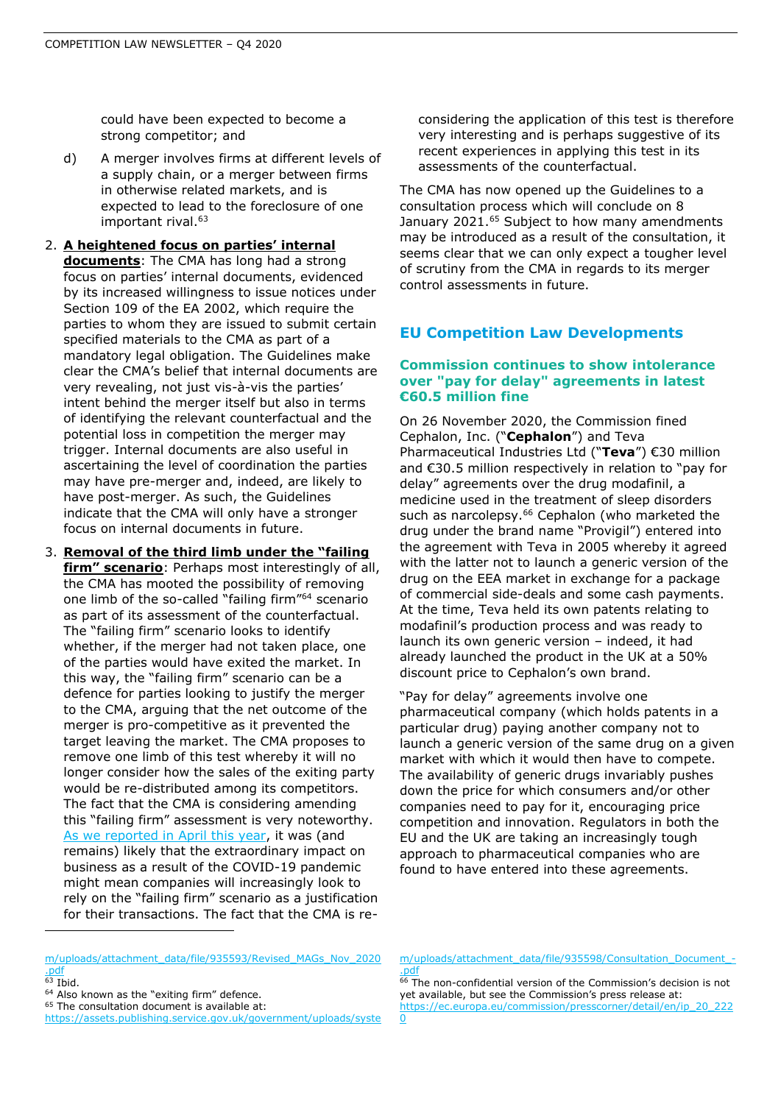could have been expected to become a strong competitor; and

- d) A merger involves firms at different levels of a supply chain, or a merger between firms in otherwise related markets, and is expected to lead to the foreclosure of one important rival.<sup>63</sup>
- 2. **A heightened focus on parties' internal documents**: The CMA has long had a strong focus on parties' internal documents, evidenced by its increased willingness to issue notices under Section 109 of the EA 2002, which require the parties to whom they are issued to submit certain specified materials to the CMA as part of a mandatory legal obligation. The Guidelines make clear the CMA's belief that internal documents are very revealing, not just vis-à-vis the parties' intent behind the merger itself but also in terms of identifying the relevant counterfactual and the potential loss in competition the merger may trigger. Internal documents are also useful in ascertaining the level of coordination the parties may have pre-merger and, indeed, are likely to have post-merger. As such, the Guidelines indicate that the CMA will only have a stronger focus on internal documents in future.
- 3. **Removal of the third limb under the "failing firm" scenario**: Perhaps most interestingly of all, the CMA has mooted the possibility of removing one limb of the so-called "failing firm"<sup>64</sup> scenario as part of its assessment of the counterfactual. The "failing firm" scenario looks to identify whether, if the merger had not taken place, one of the parties would have exited the market. In this way, the "failing firm" scenario can be a defence for parties looking to justify the merger to the CMA, arguing that the net outcome of the merger is pro-competitive as it prevented the target leaving the market. The CMA proposes to remove one limb of this test whereby it will no longer consider how the sales of the exiting party would be re-distributed among its competitors. The fact that the CMA is considering amending this "failing firm" assessment is very noteworthy. [As we reported in April this year,](https://www.shlegal.com/docs/default-source/news-insights-documents/impact-of-covid-19-on-merger-control---april-2020.pdf?sfvrsn=69bf135b_0) it was (and remains) likely that the extraordinary impact on business as a result of the COVID-19 pandemic might mean companies will increasingly look to rely on the "failing firm" scenario as a justification for their transactions. The fact that the CMA is re-

considering the application of this test is therefore very interesting and is perhaps suggestive of its recent experiences in applying this test in its assessments of the counterfactual.

The CMA has now opened up the Guidelines to a consultation process which will conclude on 8 January 2021.<sup>65</sup> Subject to how many amendments may be introduced as a result of the consultation, it seems clear that we can only expect a tougher level of scrutiny from the CMA in regards to its merger control assessments in future.

# **EU Competition Law Developments**

# **Commission continues to show intolerance over "pay for delay" agreements in latest €60.5 million fine**

On 26 November 2020, the Commission fined Cephalon, Inc. ("**Cephalon**") and Teva Pharmaceutical Industries Ltd ("**Teva**") €30 million and €30.5 million respectively in relation to "pay for delay" agreements over the drug modafinil, a medicine used in the treatment of sleep disorders such as narcolepsy.<sup>66</sup> Cephalon (who marketed the drug under the brand name "Provigil") entered into the agreement with Teva in 2005 whereby it agreed with the latter not to launch a generic version of the drug on the EEA market in exchange for a package of commercial side-deals and some cash payments. At the time, Teva held its own patents relating to modafinil's production process and was ready to launch its own generic version – indeed, it had already launched the product in the UK at a 50% discount price to Cephalon's own brand.

"Pay for delay" agreements involve one pharmaceutical company (which holds patents in a particular drug) paying another company not to launch a generic version of the same drug on a given market with which it would then have to compete. The availability of generic drugs invariably pushes down the price for which consumers and/or other companies need to pay for it, encouraging price competition and innovation. Regulators in both the EU and the UK are taking an increasingly tough approach to pharmaceutical companies who are found to have entered into these agreements.

<sup>64</sup> Also known as the "exiting firm" defence.

[m/uploads/attachment\\_data/file/935598/Consultation\\_Document\\_-](https://assets.publishing.service.gov.uk/government/uploads/system/uploads/attachment_data/file/935598/Consultation_Document_-.pdf) [.pdf](https://assets.publishing.service.gov.uk/government/uploads/system/uploads/attachment_data/file/935598/Consultation_Document_-.pdf)

<sup>66</sup> The non-confidential version of the Commission's decision is not yet available, but see the Commission's press release at: [https://ec.europa.eu/commission/presscorner/detail/en/ip\\_20\\_222](https://ec.europa.eu/commission/presscorner/detail/en/ip_20_2220)  $\Omega$ 

[m/uploads/attachment\\_data/file/935593/Revised\\_MAGs\\_Nov\\_2020](https://assets.publishing.service.gov.uk/government/uploads/system/uploads/attachment_data/file/935593/Revised_MAGs_Nov_2020.pdf) [.pdf](https://assets.publishing.service.gov.uk/government/uploads/system/uploads/attachment_data/file/935593/Revised_MAGs_Nov_2020.pdf)

 $63$  Ibid.

<sup>&</sup>lt;sup>65</sup> The consultation document is available at:

[https://assets.publishing.service.gov.uk/government/uploads/syste](https://assets.publishing.service.gov.uk/government/uploads/system/uploads/attachment_data/file/935598/Consultation_Document_-.pdf)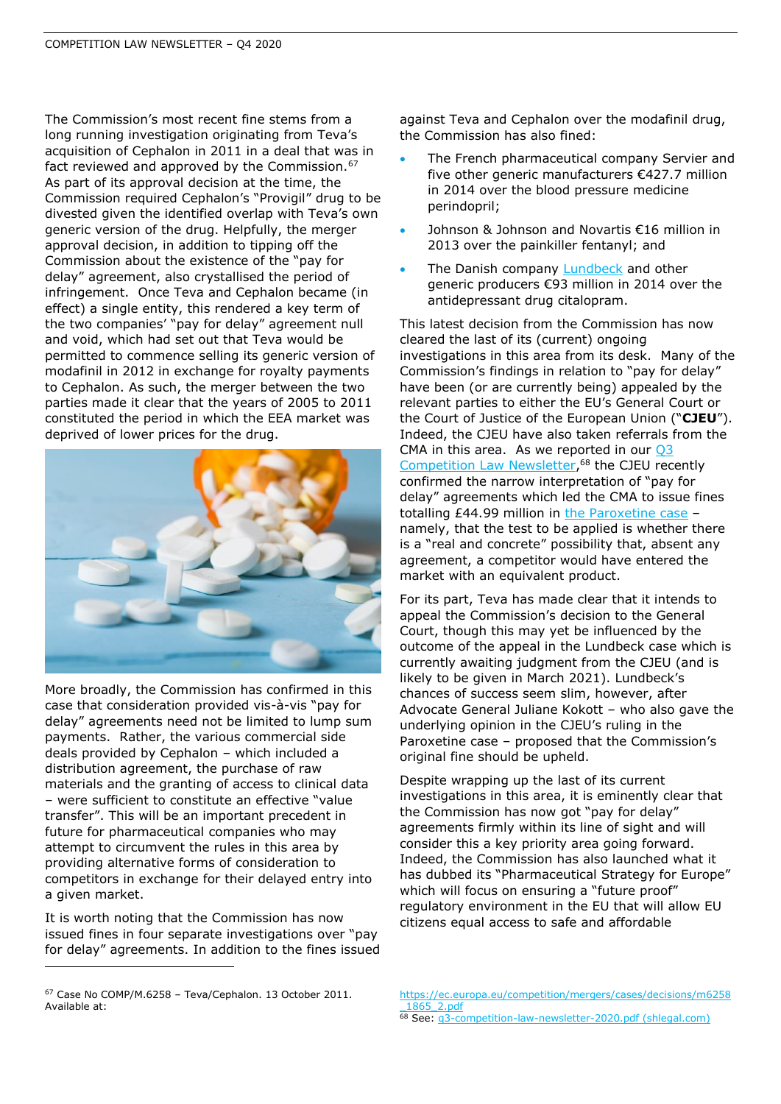The Commission's most recent fine stems from a long running investigation originating from Teva's acquisition of Cephalon in 2011 in a deal that was in fact reviewed and approved by the Commission.  $67$ As part of its approval decision at the time, the Commission required Cephalon's "Provigil" drug to be divested given the identified overlap with Teva's own generic version of the drug. Helpfully, the merger approval decision, in addition to tipping off the Commission about the existence of the "pay for delay" agreement, also crystallised the period of infringement. Once Teva and Cephalon became (in effect) a single entity, this rendered a key term of the two companies' "pay for delay" agreement null and void, which had set out that Teva would be permitted to commence selling its generic version of modafinil in 2012 in exchange for royalty payments to Cephalon. As such, the merger between the two parties made it clear that the years of 2005 to 2011 constituted the period in which the EEA market was deprived of lower prices for the drug.



More broadly, the Commission has confirmed in this case that consideration provided vis-à-vis "pay for delay" agreements need not be limited to lump sum payments. Rather, the various commercial side deals provided by Cephalon – which included a distribution agreement, the purchase of raw materials and the granting of access to clinical data – were sufficient to constitute an effective "value transfer". This will be an important precedent in future for pharmaceutical companies who may attempt to circumvent the rules in this area by providing alternative forms of consideration to competitors in exchange for their delayed entry into a given market.

It is worth noting that the Commission has now issued fines in four separate investigations over "pay for delay" agreements. In addition to the fines issued against Teva and Cephalon over the modafinil drug, the Commission has also fined:

- The French pharmaceutical company Servier and five other generic manufacturers €427.7 million in 2014 over the blood pressure medicine perindopril;
- Johnson & Johnson and Novartis €16 million in 2013 over the painkiller fentanyl; and
- The Danish company [Lundbeck](https://www.shlegal.com/docs/default-source/news-insights-documents/q3-competition-law-newsletter-2020.pdf?sfvrsn=f2bed5b_0) and other generic producers €93 million in 2014 over the antidepressant drug citalopram.

This latest decision from the Commission has now cleared the last of its (current) ongoing investigations in this area from its desk. Many of the Commission's findings in relation to "pay for delay" have been (or are currently being) appealed by the relevant parties to either the EU's General Court or the Court of Justice of the European Union ("**CJEU**"). Indeed, the CJEU have also taken referrals from the CMA in this area. As we reported in our  $Q3$ [Competition Law Newsletter,](https://www.shlegal.com/docs/default-source/news-insights-documents/q3-competition-law-newsletter-2020.pdf?sfvrsn=f2bed5b_0) <sup>68</sup> the CJEU recently confirmed the narrow interpretation of "pay for delay" agreements which led the CMA to issue fines totalling £44.99 million in [the Paroxetine case](https://www.shlegal.com/docs/default-source/news-insights-documents/q3-competition-law-newsletter-2020.pdf?sfvrsn=f2bed5b_0) – namely, that the test to be applied is whether there is a "real and concrete" possibility that, absent any agreement, a competitor would have entered the market with an equivalent product.

For its part, Teva has made clear that it intends to appeal the Commission's decision to the General Court, though this may yet be influenced by the outcome of the appeal in the Lundbeck case which is currently awaiting judgment from the CJEU (and is likely to be given in March 2021). Lundbeck's chances of success seem slim, however, after Advocate General Juliane Kokott – who also gave the underlying opinion in the CJEU's ruling in the Paroxetine case – proposed that the Commission's original fine should be upheld.

Despite wrapping up the last of its current investigations in this area, it is eminently clear that the Commission has now got "pay for delay" agreements firmly within its line of sight and will consider this a key priority area going forward. Indeed, the Commission has also launched what it has dubbed its "Pharmaceutical Strategy for Europe" which will focus on ensuring a "future proof" regulatory environment in the EU that will allow EU citizens equal access to safe and affordable

<sup>67</sup> Case No COMP/M.6258 – Teva/Cephalon. 13 October 2011. Available at:

[https://ec.europa.eu/competition/mergers/cases/decisions/m6258](https://ec.europa.eu/competition/mergers/cases/decisions/m6258_1865_2.pdf) [\\_1865\\_2.pdf](https://ec.europa.eu/competition/mergers/cases/decisions/m6258_1865_2.pdf)

<sup>68</sup> See: g3-competition-law-newsletter-2020.pdf (shlegal.com)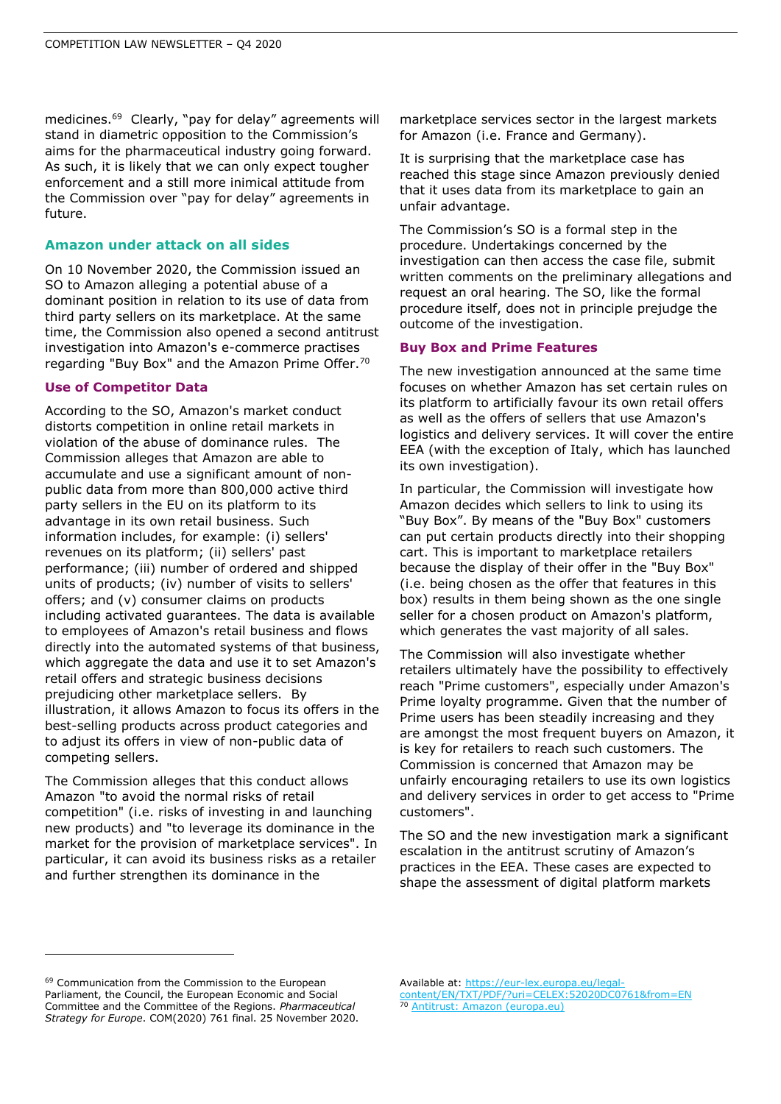medicines.<sup>69</sup> Clearly, "pay for delay" agreements will stand in diametric opposition to the Commission's aims for the pharmaceutical industry going forward. As such, it is likely that we can only expect tougher enforcement and a still more inimical attitude from the Commission over "pay for delay" agreements in future.

#### **Amazon under attack on all sides**

On 10 November 2020, the Commission issued an SO to Amazon alleging a potential abuse of a dominant position in relation to its use of data from third party sellers on its marketplace. At the same time, the Commission also opened a second antitrust investigation into Amazon's e-commerce practises regarding "Buy Box" and the Amazon Prime Offer.<sup>70</sup>

#### **Use of Competitor Data**

According to the SO, Amazon's market conduct distorts competition in online retail markets in violation of the abuse of dominance rules. The Commission alleges that Amazon are able to accumulate and use a significant amount of nonpublic data from more than 800,000 active third party sellers in the EU on its platform to its advantage in its own retail business. Such information includes, for example: (i) sellers' revenues on its platform; (ii) sellers' past performance; (iii) number of ordered and shipped units of products; (iv) number of visits to sellers' offers; and (v) consumer claims on products including activated guarantees. The data is available to employees of Amazon's retail business and flows directly into the automated systems of that business, which aggregate the data and use it to set Amazon's retail offers and strategic business decisions prejudicing other marketplace sellers. By illustration, it allows Amazon to focus its offers in the best-selling products across product categories and to adjust its offers in view of non-public data of competing sellers.

The Commission alleges that this conduct allows Amazon "to avoid the normal risks of retail competition" (i.e. risks of investing in and launching new products) and "to leverage its dominance in the market for the provision of marketplace services". In particular, it can avoid its business risks as a retailer and further strengthen its dominance in the

marketplace services sector in the largest markets for Amazon (i.e. France and Germany).

It is surprising that the marketplace case has reached this stage since Amazon previously denied that it uses data from its marketplace to gain an unfair advantage.

The Commission's SO is a formal step in the procedure. Undertakings concerned by the investigation can then access the case file, submit written comments on the preliminary allegations and request an oral hearing. The SO, like the formal procedure itself, does not in principle prejudge the outcome of the investigation.

#### **Buy Box and Prime Features**

The new investigation announced at the same time focuses on whether Amazon has set certain rules on its platform to artificially favour its own retail offers as well as the offers of sellers that use Amazon's logistics and delivery services. It will cover the entire EEA (with the exception of Italy, which has launched its own investigation).

In particular, the Commission will investigate how Amazon decides which sellers to link to using its "Buy Box". By means of the "Buy Box" customers can put certain products directly into their shopping cart. This is important to marketplace retailers because the display of their offer in the "Buy Box" (i.e. being chosen as the offer that features in this box) results in them being shown as the one single seller for a chosen product on Amazon's platform, which generates the vast majority of all sales.

The Commission will also investigate whether retailers ultimately have the possibility to effectively reach "Prime customers", especially under Amazon's Prime loyalty programme. Given that the number of Prime users has been steadily increasing and they are amongst the most frequent buyers on Amazon, it is key for retailers to reach such customers. The Commission is concerned that Amazon may be unfairly encouraging retailers to use its own logistics and delivery services in order to get access to "Prime customers".

The SO and the new investigation mark a significant escalation in the antitrust scrutiny of Amazon's practices in the EEA. These cases are expected to shape the assessment of digital platform markets

<sup>69</sup> Communication from the Commission to the European Parliament, the Council, the European Economic and Social Committee and the Committee of the Regions. *Pharmaceutical Strategy for Europe*. COM(2020) 761 final. 25 November 2020.

Available at: [https://eur-lex.europa.eu/legal](https://eur-lex.europa.eu/legal-content/EN/TXT/PDF/?uri=CELEX:52020DC0761&from=EN)[content/EN/TXT/PDF/?uri=CELEX:52020DC0761&from=EN](https://eur-lex.europa.eu/legal-content/EN/TXT/PDF/?uri=CELEX:52020DC0761&from=EN) <sup>70</sup> [Antitrust: Amazon \(europa.eu\)](https://ec.europa.eu/commission/presscorner/detail/en/ip_20_2077)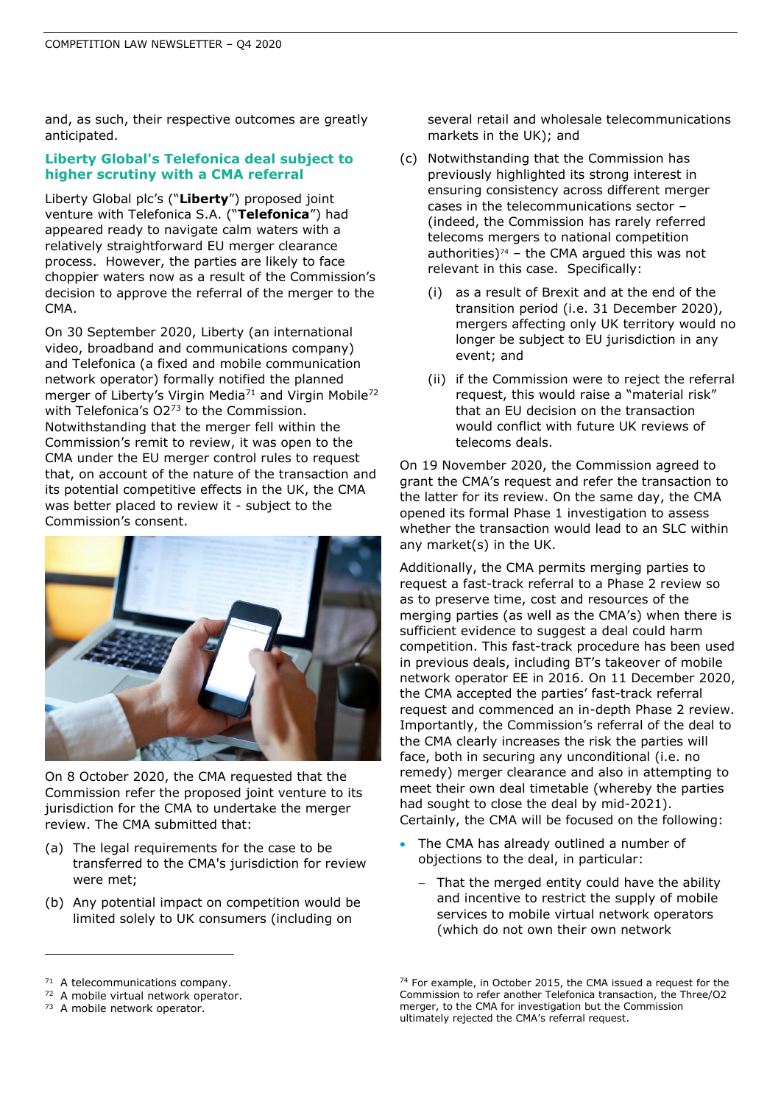and, as such, their respective outcomes are greatly anticipated.

# **Liberty Global's Telefonica deal subject to higher scrutiny with a CMA referral**

Liberty Global plc's ("**Liberty**") proposed joint venture with Telefonica S.A. ("**Telefonica**") had appeared ready to navigate calm waters with a relatively straightforward EU merger clearance process. However, the parties are likely to face choppier waters now as a result of the Commission's decision to approve the referral of the merger to the CMA.

On 30 September 2020, Liberty (an international video, broadband and communications company) and Telefonica (a fixed and mobile communication network operator) formally notified the planned merger of Liberty's Virgin Media<sup>71</sup> and Virgin Mobile<sup>72</sup> with Telefonica's O2<sup>73</sup> to the Commission. Notwithstanding that the merger fell within the Commission's remit to review, it was open to the CMA under the EU merger control rules to request that, on account of the nature of the transaction and its potential competitive effects in the UK, the CMA was better placed to review it - subject to the Commission's consent.



On 8 October 2020, the CMA requested that the Commission refer the proposed joint venture to its jurisdiction for the CMA to undertake the merger review. The CMA submitted that:

- (a) The legal requirements for the case to be transferred to the CMA's jurisdiction for review were met;
- (b) Any potential impact on competition would be limited solely to UK consumers (including on

several retail and wholesale telecommunications markets in the UK); and

- (c) Notwithstanding that the Commission has previously highlighted its strong interest in ensuring consistency across different merger cases in the telecommunications sector – (indeed, the Commission has rarely referred telecoms mergers to national competition authorities) $74$  – the CMA argued this was not relevant in this case. Specifically:
	- (i) as a result of Brexit and at the end of the transition period (i.e. 31 December 2020), mergers affecting only UK territory would no longer be subject to EU jurisdiction in any event; and
	- (ii) if the Commission were to reject the referral request, this would raise a "material risk" that an EU decision on the transaction would conflict with future UK reviews of telecoms deals.

On 19 November 2020, the Commission agreed to grant the CMA's request and refer the transaction to the latter for its review. On the same day, the CMA opened its formal Phase 1 investigation to assess whether the transaction would lead to an SLC within any market(s) in the UK.

Additionally, the CMA permits merging parties to request a fast-track referral to a Phase 2 review so as to preserve time, cost and resources of the merging parties (as well as the CMA's) when there is sufficient evidence to suggest a deal could harm competition. This fast-track procedure has been used in previous deals, including BT's takeover of mobile network operator EE in 2016. On 11 December 2020, the CMA accepted the parties' fast-track referral request and commenced an in-depth Phase 2 review. Importantly, the Commission's referral of the deal to the CMA clearly increases the risk the parties will face, both in securing any unconditional (i.e. no remedy) merger clearance and also in attempting to meet their own deal timetable (whereby the parties had sought to close the deal by mid-2021). Certainly, the CMA will be focused on the following:

- The CMA has already outlined a number of objections to the deal, in particular:
	- − That the merged entity could have the ability and incentive to restrict the supply of mobile services to mobile virtual network operators (which do not own their own network

72 A mobile virtual network operator.

<sup>&</sup>lt;sup>71</sup> A telecommunications company.

<sup>73</sup> A mobile network operator.

<sup>74</sup> For example, in October 2015, the CMA issued a request for the Commission to refer another Telefonica transaction, the Three/O2 merger, to the CMA for investigation but the Commission ultimately rejected the CMA's referral request.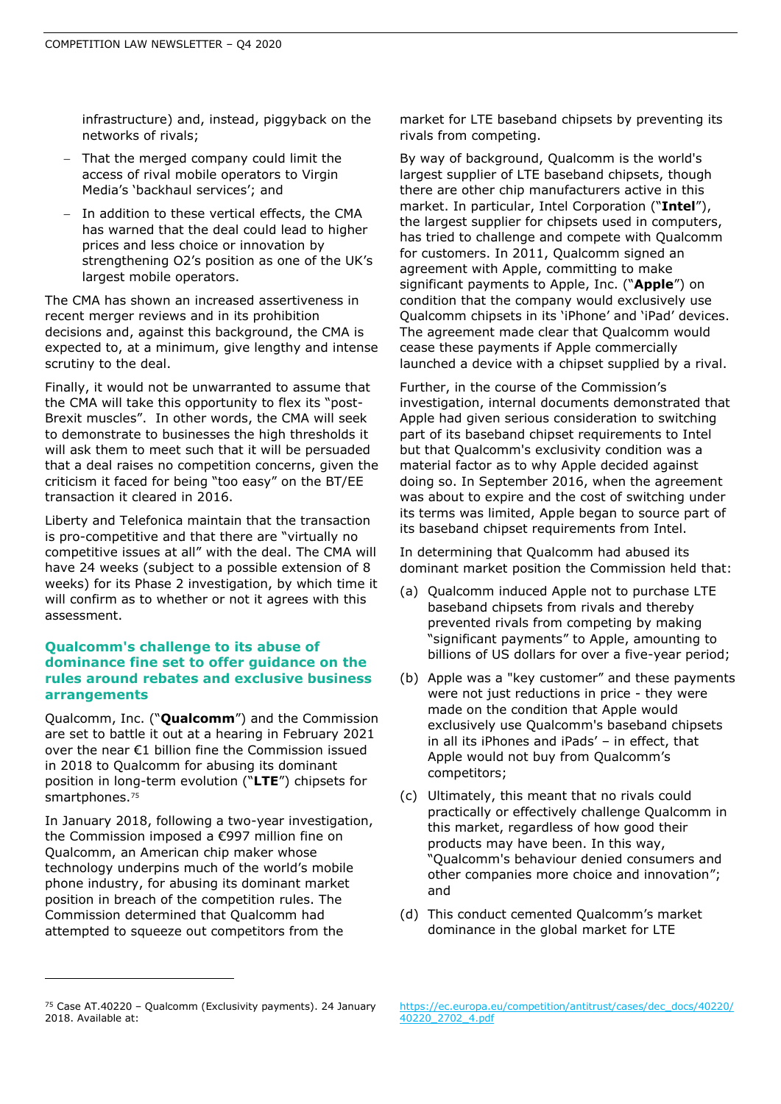infrastructure) and, instead, piggyback on the networks of rivals;

- That the merged company could limit the access of rival mobile operators to Virgin Media's 'backhaul services'; and
- In addition to these vertical effects, the CMA has warned that the deal could lead to higher prices and less choice or innovation by strengthening O2's position as one of the UK's largest mobile operators.

The CMA has shown an increased assertiveness in recent merger reviews and in its prohibition decisions and, against this background, the CMA is expected to, at a minimum, give lengthy and intense scrutiny to the deal.

Finally, it would not be unwarranted to assume that the CMA will take this opportunity to flex its "post-Brexit muscles". In other words, the CMA will seek to demonstrate to businesses the high thresholds it will ask them to meet such that it will be persuaded that a deal raises no competition concerns, given the criticism it faced for being "too easy" on the BT/EE transaction it cleared in 2016.

Liberty and Telefonica maintain that the transaction is pro-competitive and that there are "virtually no competitive issues at all" with the deal. The CMA will have 24 weeks (subject to a possible extension of 8 weeks) for its Phase 2 investigation, by which time it will confirm as to whether or not it agrees with this assessment.

### **Qualcomm's challenge to its abuse of dominance fine set to offer guidance on the rules around rebates and exclusive business arrangements**

Qualcomm, Inc. ("**Qualcomm**") and the Commission are set to battle it out at a hearing in February 2021 over the near €1 billion fine the Commission issued in 2018 to Qualcomm for abusing its dominant position in long-term evolution ("**LTE**") chipsets for smartphones.<sup>75</sup>

In January 2018, following a two-year investigation, the Commission imposed a €997 million fine on Qualcomm, an American chip maker whose technology underpins much of the world's mobile phone industry, for abusing its dominant market position in breach of the competition rules. The Commission determined that Qualcomm had attempted to squeeze out competitors from the

market for LTE baseband chipsets by preventing its rivals from competing.

By way of background, Qualcomm is the world's largest supplier of LTE baseband chipsets, though there are other chip manufacturers active in this market. In particular, Intel Corporation ("**Intel**"), the largest supplier for chipsets used in computers, has tried to challenge and compete with Qualcomm for customers. In 2011, Qualcomm signed an agreement with Apple, committing to make significant payments to Apple, Inc. ("**Apple**") on condition that the company would exclusively use Qualcomm chipsets in its 'iPhone' and 'iPad' devices. The agreement made clear that Qualcomm would cease these payments if Apple commercially launched a device with a chipset supplied by a rival.

Further, in the course of the Commission's investigation, internal documents demonstrated that Apple had given serious consideration to switching part of its baseband chipset requirements to Intel but that Qualcomm's exclusivity condition was a material factor as to why Apple decided against doing so. In September 2016, when the agreement was about to expire and the cost of switching under its terms was limited, Apple began to source part of its baseband chipset requirements from Intel.

In determining that Qualcomm had abused its dominant market position the Commission held that:

- (a) Qualcomm induced Apple not to purchase LTE baseband chipsets from rivals and thereby prevented rivals from competing by making "significant payments" to Apple, amounting to billions of US dollars for over a five-year period;
- (b) Apple was a "key customer" and these payments were not just reductions in price - they were made on the condition that Apple would exclusively use Qualcomm's baseband chipsets in all its iPhones and iPads' – in effect, that Apple would not buy from Qualcomm's competitors;
- (c) Ultimately, this meant that no rivals could practically or effectively challenge Qualcomm in this market, regardless of how good their products may have been. In this way, "Qualcomm's behaviour denied consumers and other companies more choice and innovation"; and
- (d) This conduct cemented Qualcomm's market dominance in the global market for LTE

[https://ec.europa.eu/competition/antitrust/cases/dec\\_docs/40220/](https://ec.europa.eu/competition/antitrust/cases/dec_docs/40220/40220_2702_4.pdf) [40220\\_2702\\_4.pdf](https://ec.europa.eu/competition/antitrust/cases/dec_docs/40220/40220_2702_4.pdf)

<sup>75</sup> Case AT.40220 – Qualcomm (Exclusivity payments). 24 January 2018. Available at: